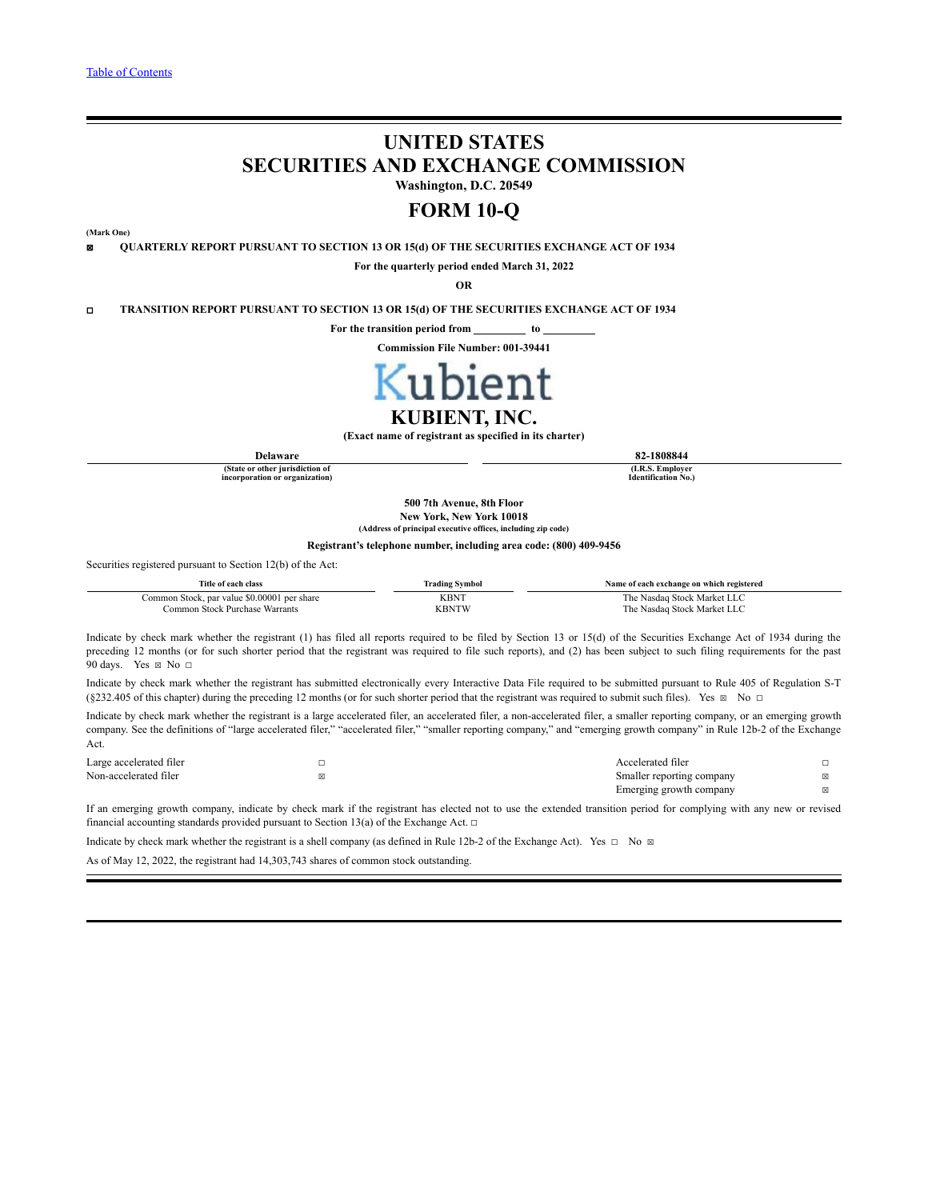# **UNITED STATES SECURITIES AND EXCHANGE COMMISSION**

**Washington, D.C. 20549**

## **FORM 10-Q**

**(Mark One)**

☒ **QUARTERLY REPORT PURSUANT TO SECTION 13 OR 15(d) OF THE SECURITIES EXCHANGE ACT OF 1934**

**For the quarterly period ended March 31, 2022**

**OR**

☐ **TRANSITION REPORT PURSUANT TO SECTION 13 OR 15(d) OF THE SECURITIES EXCHANGE ACT OF 1934**

For the transition period from \_\_\_\_\_\_\_\_\_ to

**Commission File Number: 001-39441**

Kubient

# **KUBIENT, INC.**

**(Exact name of registrant as specified in its charter)**

**(State or other jurisdiction of incorporation or organization)**

**Delaware 82-1808844**

**(I.R.S. Employer Identification No.)**

**500 7th Avenue, 8th Floor New York, New York 10018 (Address of principal executive offices, including zip code)**

**Registrant's telephone number, including area code: (800) 409-9456**

Securities registered pursuant to Section 12(b) of the Act:

| Title of each class                         | Trading Svmbol | Name of each exchange on which registered |
|---------------------------------------------|----------------|-------------------------------------------|
| Common Stock, par value \$0,00001 per share | KBNT           | The Nasdaq Stock Market LLC               |
| Common Stock Purchase Warrants              | KBNTW          | The Nasdaq Stock Market LLC               |

Indicate by check mark whether the registrant (1) has filed all reports required to be filed by Section 13 or 15(d) of the Securities Exchange Act of 1934 during the preceding 12 months (or for such shorter period that the registrant was required to file such reports), and (2) has been subject to such filing requirements for the past 90 days. Yes  $\boxtimes$  No  $\Box$ 

Indicate by check mark whether the registrant has submitted electronically every Interactive Data File required to be submitted pursuant to Rule 405 of Regulation S-T (§232.405 of this chapter) during the preceding 12 months (or for such shorter period that the registrant was required to submit such files). Yes ⊠ No □

Indicate by check mark whether the registrant is a large accelerated filer, an accelerated filer, a non-accelerated filer, a smaller reporting company, or an emerging growth company. See the definitions of "large accelerated filer," "accelerated filer," "smaller reporting company," and "emerging growth company" in Rule 12b-2 of the Exchange Act.

| Large accelerated filer | Accelerated filer              |  |
|-------------------------|--------------------------------|--|
| Non-accelerated filer   | Smaller reporting company<br>図 |  |
|                         | Emerging growth company<br>図   |  |

If an emerging growth company, indicate by check mark if the registrant has elected not to use the extended transition period for complying with any new or revised financial accounting standards provided pursuant to Section 13(a) of the Exchange Act.  $□$ 

Indicate by check mark whether the registrant is a shell company (as defined in Rule 12b-2 of the Exchange Act). Yes  $\Box$  No  $\Box$ 

As of May 12, 2022, the registrant had 14,303,743 shares of common stock outstanding.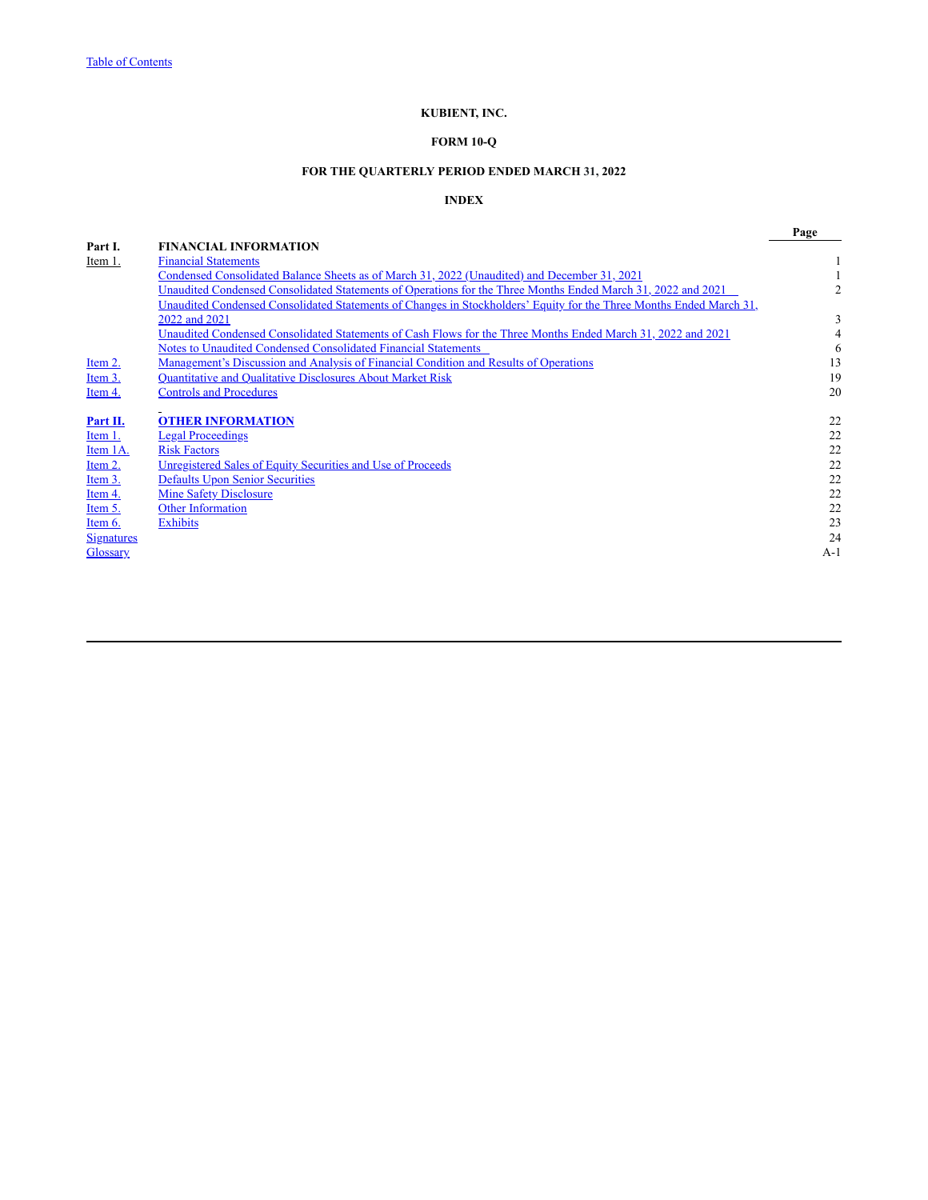## **KUBIENT, INC.**

## **FORM 10-Q**

## **FOR THE QUARTERLY PERIOD ENDED MARCH 31, 2022**

## **INDEX**

<span id="page-1-0"></span>

|                   |                                                                                                                     | Page           |
|-------------------|---------------------------------------------------------------------------------------------------------------------|----------------|
| Part I.           | <b>FINANCIAL INFORMATION</b>                                                                                        |                |
| Item 1.           | <b>Financial Statements</b>                                                                                         |                |
|                   | Condensed Consolidated Balance Sheets as of March 31, 2022 (Unaudited) and December 31, 2021                        |                |
|                   | Unaudited Condensed Consolidated Statements of Operations for the Three Months Ended March 31, 2022 and 2021        | $\overline{c}$ |
|                   | Unaudited Condensed Consolidated Statements of Changes in Stockholders' Equity for the Three Months Ended March 31, |                |
|                   | 2022 and 2021                                                                                                       | 3              |
|                   | Unaudited Condensed Consolidated Statements of Cash Flows for the Three Months Ended March 31, 2022 and 2021        | 4              |
|                   | Notes to Unaudited Condensed Consolidated Financial Statements                                                      | 6              |
| Item 2.           | Management's Discussion and Analysis of Financial Condition and Results of Operations                               | 13             |
| Item 3.           | Quantitative and Qualitative Disclosures About Market Risk                                                          | 19             |
| Item 4.           | <b>Controls and Procedures</b>                                                                                      | 20             |
|                   |                                                                                                                     |                |
| Part $II$ .       | <b>OTHER INFORMATION</b>                                                                                            | 22             |
| Item 1.           | <b>Legal Proceedings</b>                                                                                            | 22             |
| Item 1A.          | <b>Risk Factors</b>                                                                                                 | 22             |
| Item 2.           | Unregistered Sales of Equity Securities and Use of Proceeds                                                         | 22             |
| Item 3.           | <b>Defaults Upon Senior Securities</b>                                                                              | 22             |
| Item 4.           | <b>Mine Safety Disclosure</b>                                                                                       | 22             |
| Item 5.           | <b>Other Information</b>                                                                                            | 22             |
| Item 6.           | <b>Exhibits</b>                                                                                                     | 23             |
| <b>Signatures</b> |                                                                                                                     | 24             |
| Glossary          |                                                                                                                     | $A-1$          |
|                   |                                                                                                                     |                |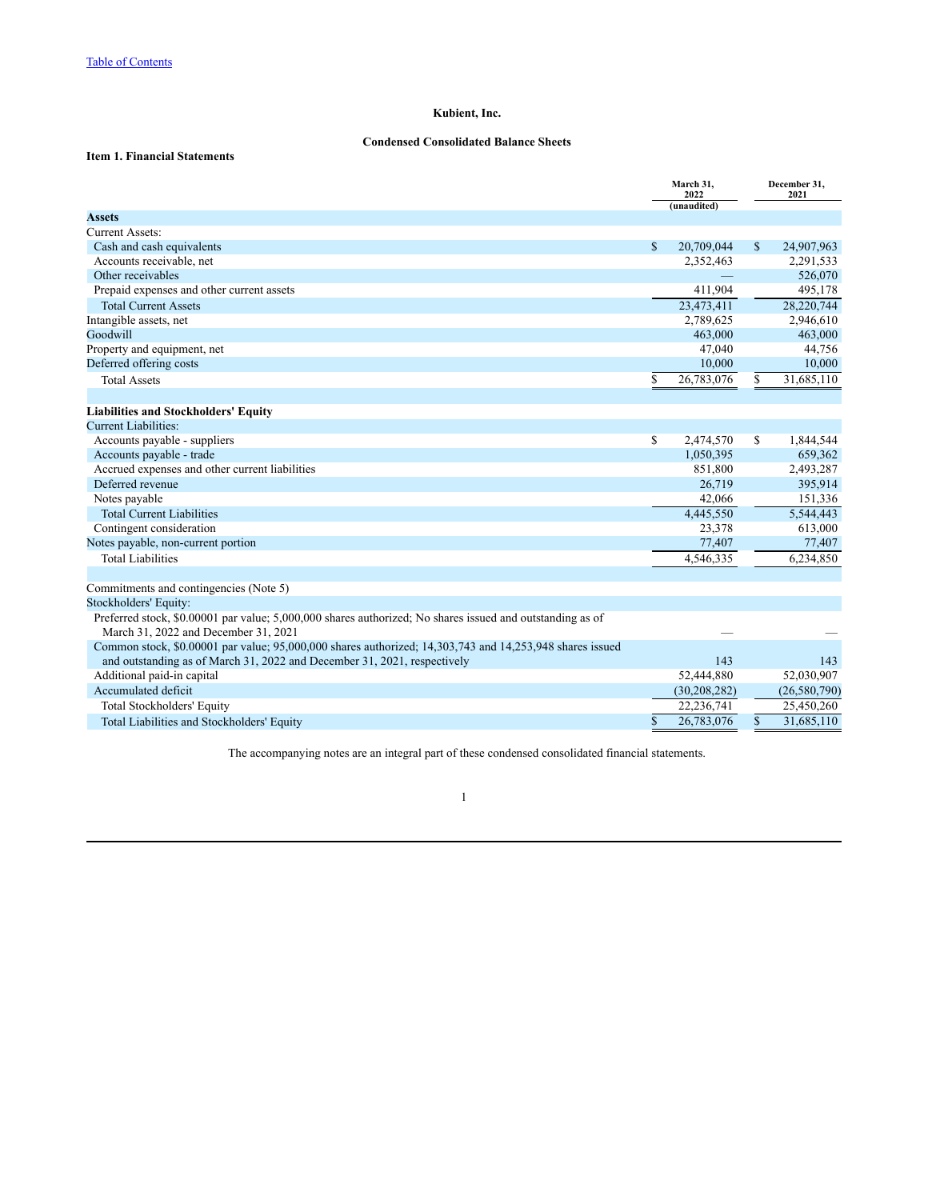## **Condensed Consolidated Balance Sheets**

## <span id="page-2-1"></span><span id="page-2-0"></span>**Item 1. Financial Statements**

|                                                                                                           |              | March 31.<br>2022 |              | December 31.<br>2021 |
|-----------------------------------------------------------------------------------------------------------|--------------|-------------------|--------------|----------------------|
|                                                                                                           |              | (unaudited)       |              |                      |
| <b>Assets</b>                                                                                             |              |                   |              |                      |
| <b>Current Assets:</b>                                                                                    |              |                   |              |                      |
| Cash and cash equivalents                                                                                 | \$           | 20,709,044        | $\mathbb{S}$ | 24,907,963           |
| Accounts receivable, net                                                                                  |              | 2,352,463         |              | 2,291,533            |
| Other receivables                                                                                         |              |                   |              | 526,070              |
| Prepaid expenses and other current assets                                                                 |              | 411,904           |              | 495,178              |
| <b>Total Current Assets</b>                                                                               |              | 23,473,411        |              | 28,220,744           |
| Intangible assets, net                                                                                    |              | 2,789,625         |              | 2,946,610            |
| Goodwill                                                                                                  |              | 463,000           |              | 463,000              |
| Property and equipment, net                                                                               |              | 47,040            |              | 44,756               |
| Deferred offering costs                                                                                   |              | 10,000            |              | 10,000               |
| <b>Total Assets</b>                                                                                       | \$           | 26,783,076        | \$           | 31,685,110           |
| <b>Liabilities and Stockholders' Equity</b>                                                               |              |                   |              |                      |
| <b>Current Liabilities:</b>                                                                               |              |                   |              |                      |
| Accounts payable - suppliers                                                                              | \$           | 2,474,570         | \$           | 1,844,544            |
| Accounts payable - trade                                                                                  |              | 1,050,395         |              | 659,362              |
| Accrued expenses and other current liabilities                                                            |              | 851,800           |              | 2,493,287            |
| Deferred revenue                                                                                          |              | 26,719            |              | 395,914              |
| Notes payable                                                                                             |              | 42,066            |              | 151,336              |
| <b>Total Current Liabilities</b>                                                                          |              | 4,445,550         |              | 5,544,443            |
| Contingent consideration                                                                                  |              | 23,378            |              | 613,000              |
| Notes payable, non-current portion                                                                        |              | 77,407            |              | 77,407               |
| <b>Total Liabilities</b>                                                                                  |              | 4,546,335         |              | 6,234,850            |
| Commitments and contingencies (Note 5)                                                                    |              |                   |              |                      |
| Stockholders' Equity:                                                                                     |              |                   |              |                      |
| Preferred stock, \$0.00001 par value; 5,000,000 shares authorized; No shares issued and outstanding as of |              |                   |              |                      |
| March 31, 2022 and December 31, 2021                                                                      |              |                   |              |                      |
| Common stock, \$0.00001 par value; 95,000,000 shares authorized; 14,303,743 and 14,253,948 shares issued  |              |                   |              |                      |
| and outstanding as of March 31, 2022 and December 31, 2021, respectively                                  |              | 143               |              | 143                  |
| Additional paid-in capital                                                                                |              | 52,444,880        |              | 52,030,907           |
| Accumulated deficit                                                                                       |              | (30, 208, 282)    |              | (26, 580, 790)       |
| Total Stockholders' Equity                                                                                |              | 22,236,741        |              | 25,450,260           |
| Total Liabilities and Stockholders' Equity                                                                | $\mathbb{S}$ | 26.783.076        | $\mathbb{S}$ | 31.685.110           |

The accompanying notes are an integral part of these condensed consolidated financial statements.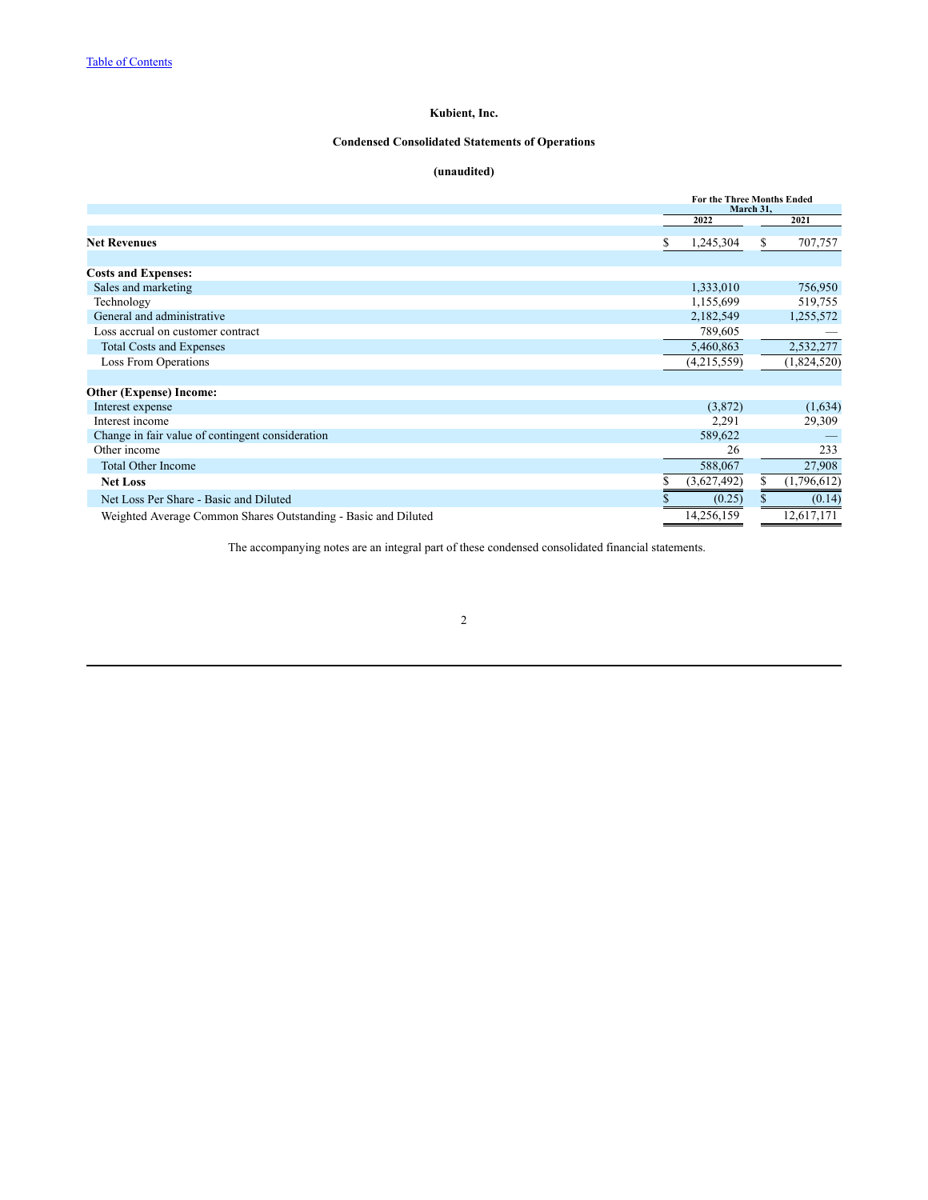## **Condensed Consolidated Statements of Operations**

## **(unaudited)**

<span id="page-3-0"></span>

|                                                                |             | <b>For the Three Months Ended</b><br>March 31, |
|----------------------------------------------------------------|-------------|------------------------------------------------|
|                                                                | 2022        | 2021                                           |
| <b>Net Revenues</b>                                            | 1,245,304   | 707,757                                        |
| <b>Costs and Expenses:</b>                                     |             |                                                |
| Sales and marketing                                            | 1,333,010   | 756,950                                        |
| Technology                                                     | 1,155,699   | 519,755                                        |
| General and administrative                                     | 2,182,549   | 1,255,572                                      |
| Loss accrual on customer contract                              | 789,605     |                                                |
| <b>Total Costs and Expenses</b>                                | 5,460,863   | 2,532,277                                      |
| Loss From Operations                                           | (4,215,559) | (1,824,520)                                    |
|                                                                |             |                                                |
| Other (Expense) Income:                                        |             |                                                |
| Interest expense                                               | (3,872)     | (1,634)                                        |
| Interest income                                                | 2,291       | 29,309                                         |
| Change in fair value of contingent consideration               | 589,622     |                                                |
| Other income                                                   | 26          | 233                                            |
| <b>Total Other Income</b>                                      | 588,067     | 27,908                                         |
| <b>Net Loss</b>                                                | (3,627,492) | (1,796,612)                                    |
| Net Loss Per Share - Basic and Diluted                         | (0.25)      | (0.14)                                         |
| Weighted Average Common Shares Outstanding - Basic and Diluted | 14,256,159  | 12,617,171                                     |

The accompanying notes are an integral part of these condensed consolidated financial statements.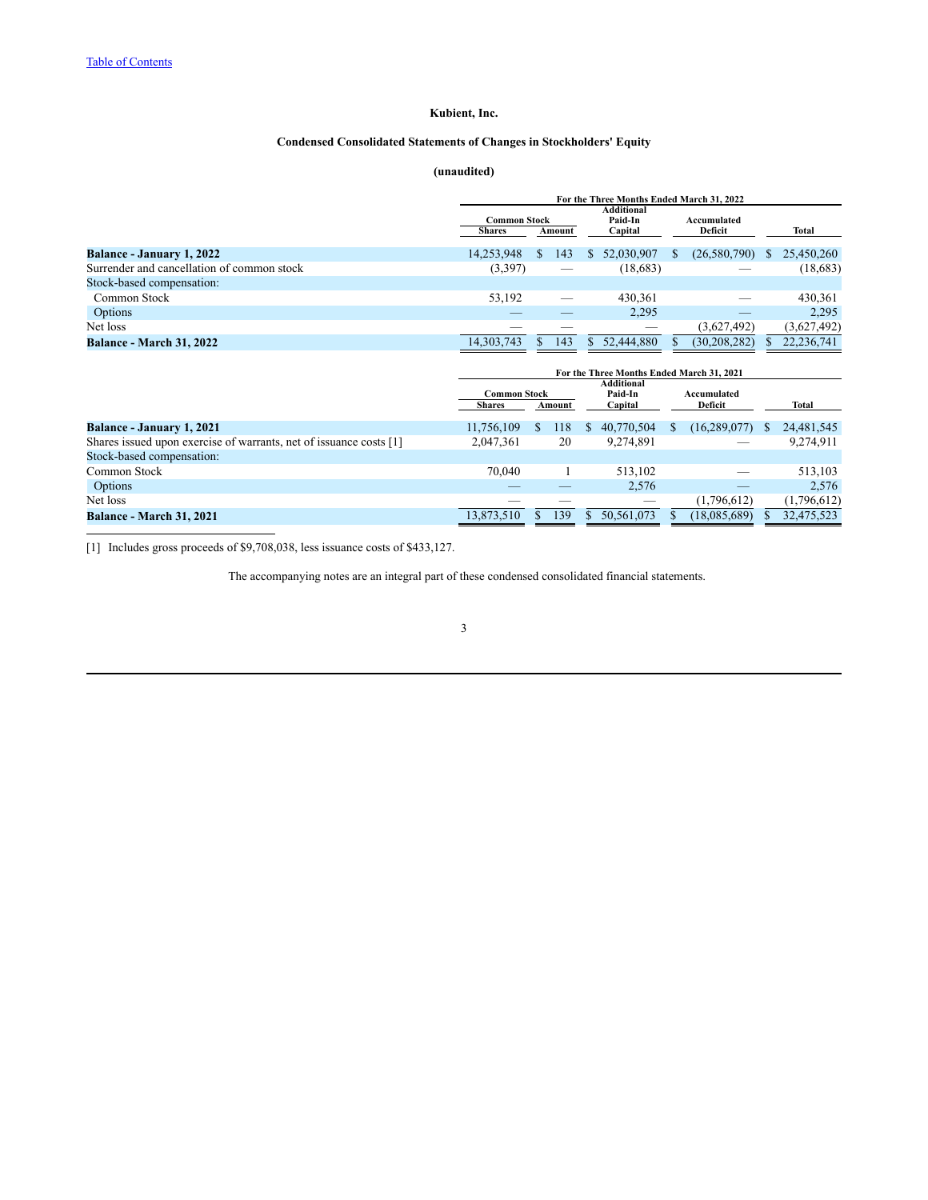## **Condensed Consolidated Statements of Changes in Stockholders' Equity**

## **(unaudited)**

<span id="page-4-0"></span>

|                                            | For the Three Months Ended March 31, 2022 |    |        |  |                                         |   |                        |              |             |
|--------------------------------------------|-------------------------------------------|----|--------|--|-----------------------------------------|---|------------------------|--------------|-------------|
|                                            | Common Stock<br><b>Shares</b>             |    | Amount |  | <b>Additional</b><br>Paid-In<br>Capital |   | Accumulated<br>Deficit |              | Total       |
| <b>Balance - January 1, 2022</b>           | 14,253,948                                | S. | 143    |  | \$52,030,907                            | S | (26, 580, 790)         | <sup>S</sup> | 25,450,260  |
| Surrender and cancellation of common stock | (3,397)                                   |    |        |  | (18,683)                                |   |                        |              | (18,683)    |
| Stock-based compensation:                  |                                           |    |        |  |                                         |   |                        |              |             |
| Common Stock                               | 53,192                                    |    |        |  | 430.361                                 |   |                        |              | 430,361     |
| Options                                    |                                           |    |        |  | 2.295                                   |   |                        |              | 2.295       |
| Net loss                                   |                                           |    |        |  |                                         |   | (3,627,492)            |              | (3,627,492) |
| <b>Balance - March 31, 2022</b>            | 14,303,743                                |    | 143    |  | 52.444.880                              |   | (30, 208, 282)         |              | 22,236,741  |

|                                                                    | For the Three Months Ended March 31, 2021 |  |        |            |  |                |             |
|--------------------------------------------------------------------|-------------------------------------------|--|--------|------------|--|----------------|-------------|
|                                                                    |                                           |  |        | Additional |  |                |             |
|                                                                    | Common Stock                              |  |        | Paid-In    |  | Accumulated    |             |
|                                                                    | <b>Shares</b>                             |  | Amount | Capital    |  | Deficit        | Total       |
|                                                                    |                                           |  |        |            |  |                |             |
| <b>Balance - January 1, 2021</b>                                   | 11,756,109                                |  | 118    | 40,770,504 |  | (16, 289, 077) | 24,481,545  |
| Shares issued upon exercise of warrants, net of issuance costs [1] | 2,047,361                                 |  | 20     | 9,274,891  |  |                | 9,274,911   |
| Stock-based compensation:                                          |                                           |  |        |            |  |                |             |
| Common Stock                                                       | 70,040                                    |  |        | 513,102    |  |                | 513,103     |
| Options                                                            |                                           |  |        | 2,576      |  |                | 2.576       |
| Net loss                                                           |                                           |  |        |            |  | (1,796,612)    | (1,796,612) |
| <b>Balance - March 31, 2021</b>                                    | 13,873,510                                |  | 139    | 50,561,073 |  | (18,085,689)   | 32,475,523  |
|                                                                    |                                           |  |        |            |  |                |             |

[1] Includes gross proceeds of \$9,708,038, less issuance costs of \$433,127.

The accompanying notes are an integral part of these condensed consolidated financial statements.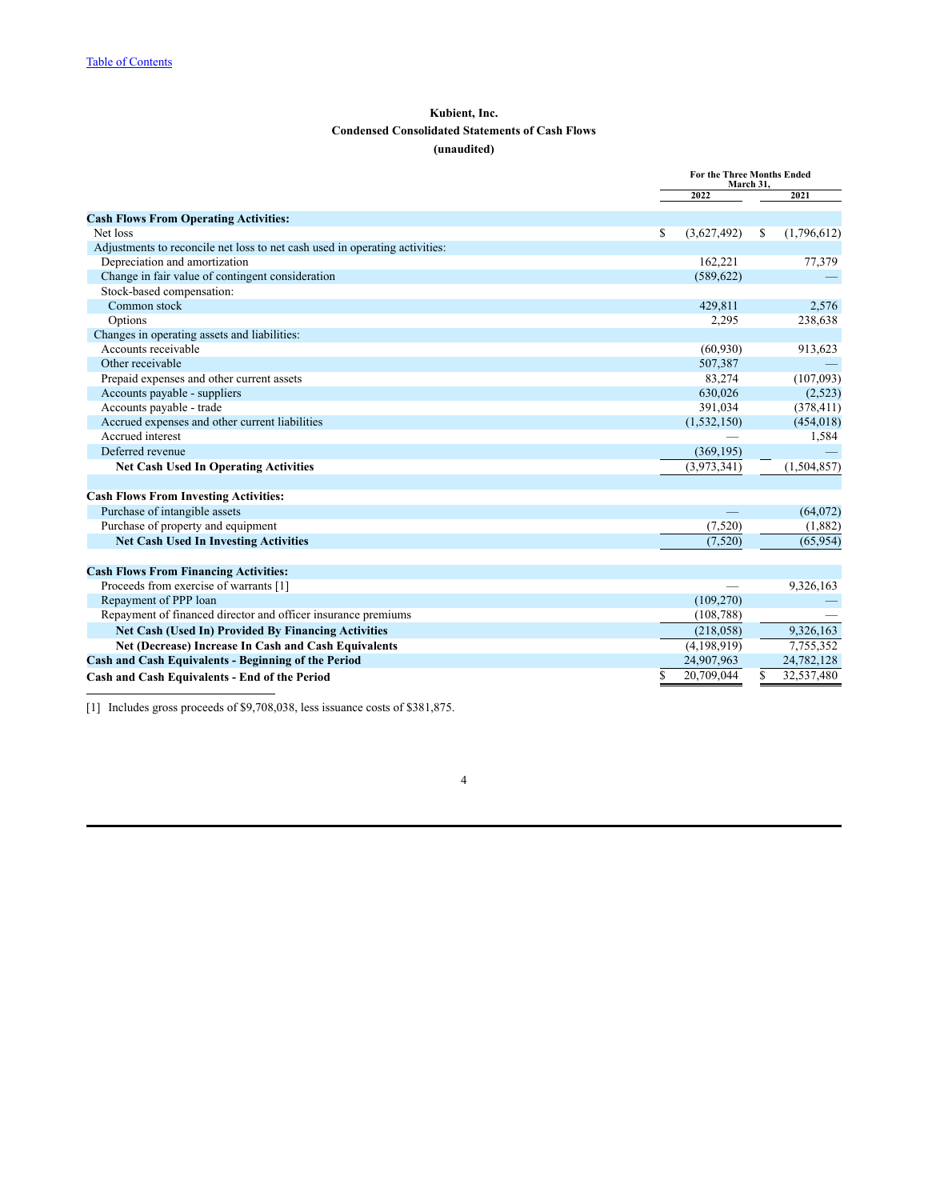## **Kubient, Inc. Condensed Consolidated Statements of Cash Flows (unaudited)**

<span id="page-5-0"></span>

|                                                                             | <b>For the Three Months Ended</b><br>March 31. |     |               |  |
|-----------------------------------------------------------------------------|------------------------------------------------|-----|---------------|--|
|                                                                             | 2022                                           |     | 2021          |  |
| <b>Cash Flows From Operating Activities:</b>                                |                                                |     |               |  |
| Net loss                                                                    | \$<br>(3,627,492)                              | \$. | (1,796,612)   |  |
| Adjustments to reconcile net loss to net cash used in operating activities: |                                                |     |               |  |
| Depreciation and amortization                                               | 162,221                                        |     | 77,379        |  |
| Change in fair value of contingent consideration                            | (589, 622)                                     |     |               |  |
| Stock-based compensation:                                                   |                                                |     |               |  |
| Common stock                                                                | 429,811                                        |     | 2,576         |  |
| Options                                                                     | 2,295                                          |     | 238,638       |  |
| Changes in operating assets and liabilities:                                |                                                |     |               |  |
| Accounts receivable                                                         | (60, 930)                                      |     | 913,623       |  |
| Other receivable                                                            | 507,387                                        |     |               |  |
| Prepaid expenses and other current assets                                   | 83,274                                         |     | (107,093)     |  |
| Accounts payable - suppliers                                                | 630,026                                        |     | (2,523)       |  |
| Accounts payable - trade                                                    | 391,034                                        |     | (378, 411)    |  |
| Accrued expenses and other current liabilities                              | (1, 532, 150)                                  |     | (454, 018)    |  |
| Accrued interest                                                            |                                                |     | 1,584         |  |
| Deferred revenue                                                            | (369, 195)                                     |     |               |  |
| <b>Net Cash Used In Operating Activities</b>                                | (3,973,341)                                    |     | (1, 504, 857) |  |
| <b>Cash Flows From Investing Activities:</b>                                |                                                |     |               |  |
| Purchase of intangible assets                                               |                                                |     | (64,072)      |  |
| Purchase of property and equipment                                          | (7,520)                                        |     | (1,882)       |  |
|                                                                             |                                                |     |               |  |
| <b>Net Cash Used In Investing Activities</b>                                | (7,520)                                        |     | (65, 954)     |  |
| <b>Cash Flows From Financing Activities:</b>                                |                                                |     |               |  |
| Proceeds from exercise of warrants [1]                                      |                                                |     | 9,326,163     |  |
| Repayment of PPP loan                                                       | (109, 270)                                     |     |               |  |
| Repayment of financed director and officer insurance premiums               | (108, 788)                                     |     |               |  |
| <b>Net Cash (Used In) Provided By Financing Activities</b>                  | (218, 058)                                     |     | 9,326,163     |  |
| Net (Decrease) Increase In Cash and Cash Equivalents                        | (4,198,919)                                    |     | 7,755,352     |  |
| <b>Cash and Cash Equivalents - Beginning of the Period</b>                  | 24,907,963                                     |     | 24,782,128    |  |
| Cash and Cash Equivalents - End of the Period                               | 20.709.044                                     | S   | 32,537,480    |  |

[1] Includes gross proceeds of \$9,708,038, less issuance costs of \$381,875.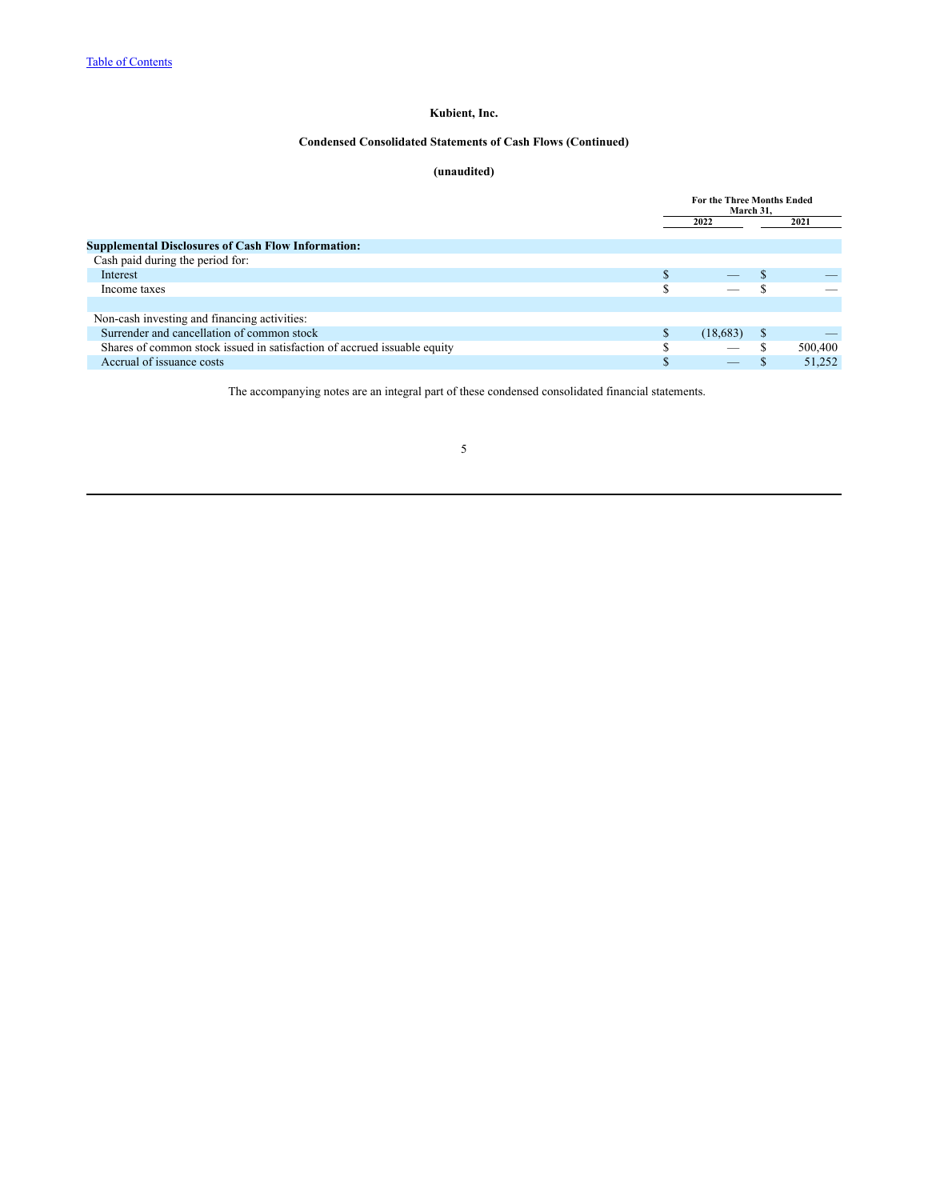## **Condensed Consolidated Statements of Cash Flows (Continued)**

## **(unaudited)**

|                                                                          | <b>For the Three Months Ended</b><br>March 31. |          |  |         |
|--------------------------------------------------------------------------|------------------------------------------------|----------|--|---------|
|                                                                          |                                                | 2022     |  | 2021    |
| <b>Supplemental Disclosures of Cash Flow Information:</b>                |                                                |          |  |         |
| Cash paid during the period for:                                         |                                                |          |  |         |
| Interest                                                                 |                                                |          |  |         |
| Income taxes                                                             |                                                |          |  |         |
|                                                                          |                                                |          |  |         |
| Non-cash investing and financing activities:                             |                                                |          |  |         |
| Surrender and cancellation of common stock                               |                                                | (18,683) |  |         |
| Shares of common stock issued in satisfaction of accrued issuable equity |                                                |          |  | 500,400 |
| Accrual of issuance costs                                                |                                                |          |  | 51,252  |

The accompanying notes are an integral part of these condensed consolidated financial statements.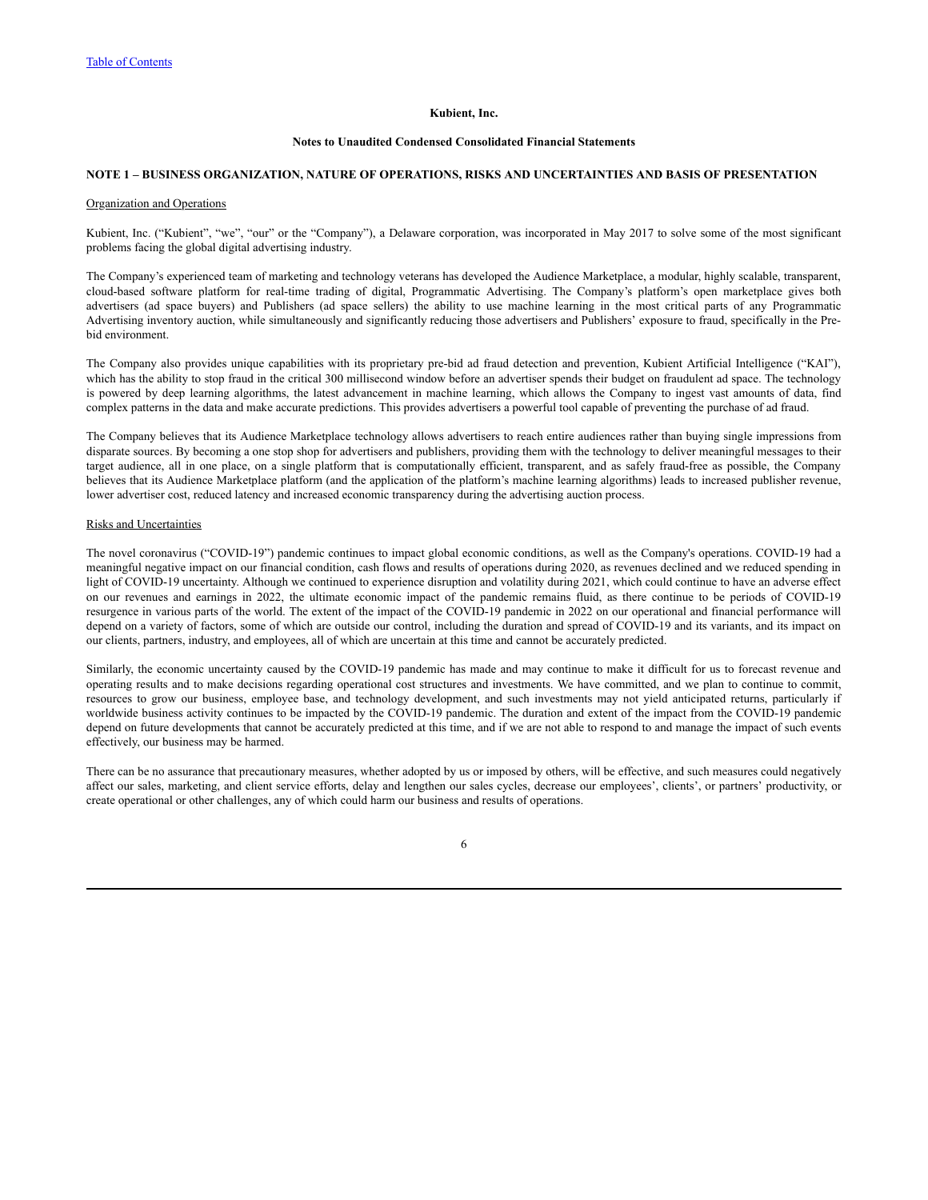#### **Notes to Unaudited Condensed Consolidated Financial Statements**

#### <span id="page-7-0"></span>**NOTE 1 – BUSINESS ORGANIZATION, NATURE OF OPERATIONS, RISKS AND UNCERTAINTIES AND BASIS OF PRESENTATION**

#### Organization and Operations

Kubient, Inc. ("Kubient", "we", "our" or the "Company"), a Delaware corporation, was incorporated in May 2017 to solve some of the most significant problems facing the global digital advertising industry.

The Company's experienced team of marketing and technology veterans has developed the Audience Marketplace, a modular, highly scalable, transparent, cloud-based software platform for real-time trading of digital, Programmatic Advertising. The Company's platform's open marketplace gives both advertisers (ad space buyers) and Publishers (ad space sellers) the ability to use machine learning in the most critical parts of any Programmatic Advertising inventory auction, while simultaneously and significantly reducing those advertisers and Publishers' exposure to fraud, specifically in the Prebid environment.

The Company also provides unique capabilities with its proprietary pre-bid ad fraud detection and prevention, Kubient Artificial Intelligence ("KAI"), which has the ability to stop fraud in the critical 300 millisecond window before an advertiser spends their budget on fraudulent ad space. The technology is powered by deep learning algorithms, the latest advancement in machine learning, which allows the Company to ingest vast amounts of data, find complex patterns in the data and make accurate predictions. This provides advertisers a powerful tool capable of preventing the purchase of ad fraud.

The Company believes that its Audience Marketplace technology allows advertisers to reach entire audiences rather than buying single impressions from disparate sources. By becoming a one stop shop for advertisers and publishers, providing them with the technology to deliver meaningful messages to their target audience, all in one place, on a single platform that is computationally efficient, transparent, and as safely fraud-free as possible, the Company believes that its Audience Marketplace platform (and the application of the platform's machine learning algorithms) leads to increased publisher revenue, lower advertiser cost, reduced latency and increased economic transparency during the advertising auction process.

#### Risks and Uncertainties

The novel coronavirus ("COVID-19") pandemic continues to impact global economic conditions, as well as the Company's operations. COVID-19 had a meaningful negative impact on our financial condition, cash flows and results of operations during 2020, as revenues declined and we reduced spending in light of COVID-19 uncertainty. Although we continued to experience disruption and volatility during 2021, which could continue to have an adverse effect on our revenues and earnings in 2022, the ultimate economic impact of the pandemic remains fluid, as there continue to be periods of COVID-19 resurgence in various parts of the world. The extent of the impact of the COVID-19 pandemic in 2022 on our operational and financial performance will depend on a variety of factors, some of which are outside our control, including the duration and spread of COVID-19 and its variants, and its impact on our clients, partners, industry, and employees, all of which are uncertain at this time and cannot be accurately predicted.

Similarly, the economic uncertainty caused by the COVID-19 pandemic has made and may continue to make it difficult for us to forecast revenue and operating results and to make decisions regarding operational cost structures and investments. We have committed, and we plan to continue to commit, resources to grow our business, employee base, and technology development, and such investments may not yield anticipated returns, particularly if worldwide business activity continues to be impacted by the COVID-19 pandemic. The duration and extent of the impact from the COVID-19 pandemic depend on future developments that cannot be accurately predicted at this time, and if we are not able to respond to and manage the impact of such events effectively, our business may be harmed.

There can be no assurance that precautionary measures, whether adopted by us or imposed by others, will be effective, and such measures could negatively affect our sales, marketing, and client service efforts, delay and lengthen our sales cycles, decrease our employees', clients', or partners' productivity, or create operational or other challenges, any of which could harm our business and results of operations.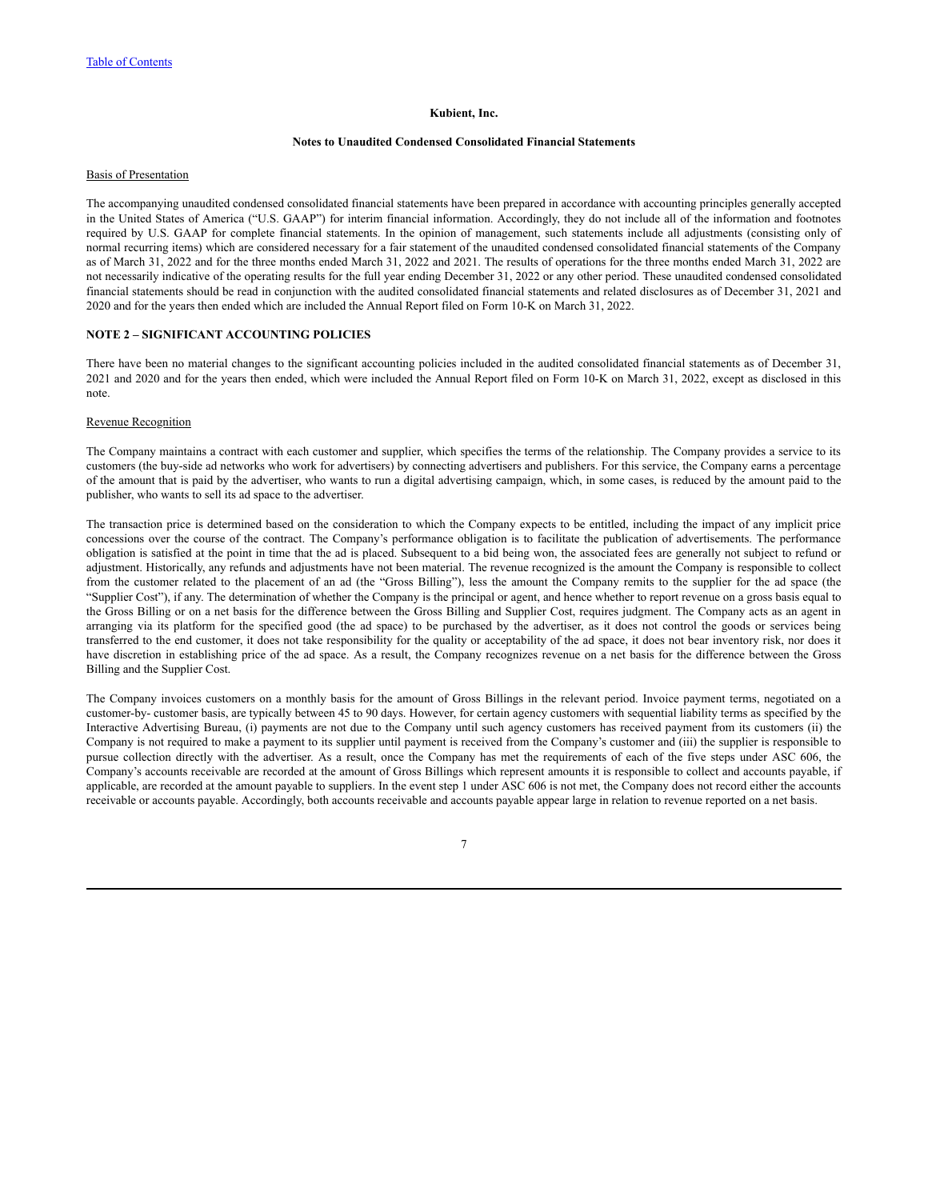#### **Notes to Unaudited Condensed Consolidated Financial Statements**

#### Basis of Presentation

The accompanying unaudited condensed consolidated financial statements have been prepared in accordance with accounting principles generally accepted in the United States of America ("U.S. GAAP") for interim financial information. Accordingly, they do not include all of the information and footnotes required by U.S. GAAP for complete financial statements. In the opinion of management, such statements include all adjustments (consisting only of normal recurring items) which are considered necessary for a fair statement of the unaudited condensed consolidated financial statements of the Company as of March 31, 2022 and for the three months ended March 31, 2022 and 2021. The results of operations for the three months ended March 31, 2022 are not necessarily indicative of the operating results for the full year ending December 31, 2022 or any other period. These unaudited condensed consolidated financial statements should be read in conjunction with the audited consolidated financial statements and related disclosures as of December 31, 2021 and 2020 and for the years then ended which are included the Annual Report filed on Form 10-K on March 31, 2022.

#### **NOTE 2 – SIGNIFICANT ACCOUNTING POLICIES**

There have been no material changes to the significant accounting policies included in the audited consolidated financial statements as of December 31, 2021 and 2020 and for the years then ended, which were included the Annual Report filed on Form 10-K on March 31, 2022, except as disclosed in this note.

#### Revenue Recognition

The Company maintains a contract with each customer and supplier, which specifies the terms of the relationship. The Company provides a service to its customers (the buy-side ad networks who work for advertisers) by connecting advertisers and publishers. For this service, the Company earns a percentage of the amount that is paid by the advertiser, who wants to run a digital advertising campaign, which, in some cases, is reduced by the amount paid to the publisher, who wants to sell its ad space to the advertiser.

The transaction price is determined based on the consideration to which the Company expects to be entitled, including the impact of any implicit price concessions over the course of the contract. The Company's performance obligation is to facilitate the publication of advertisements. The performance obligation is satisfied at the point in time that the ad is placed. Subsequent to a bid being won, the associated fees are generally not subject to refund or adjustment. Historically, any refunds and adjustments have not been material. The revenue recognized is the amount the Company is responsible to collect from the customer related to the placement of an ad (the "Gross Billing"), less the amount the Company remits to the supplier for the ad space (the "Supplier Cost"), if any. The determination of whether the Company is the principal or agent, and hence whether to report revenue on a gross basis equal to the Gross Billing or on a net basis for the difference between the Gross Billing and Supplier Cost, requires judgment. The Company acts as an agent in arranging via its platform for the specified good (the ad space) to be purchased by the advertiser, as it does not control the goods or services being transferred to the end customer, it does not take responsibility for the quality or acceptability of the ad space, it does not bear inventory risk, nor does it have discretion in establishing price of the ad space. As a result, the Company recognizes revenue on a net basis for the difference between the Gross Billing and the Supplier Cost.

The Company invoices customers on a monthly basis for the amount of Gross Billings in the relevant period. Invoice payment terms, negotiated on a customer-by- customer basis, are typically between 45 to 90 days. However, for certain agency customers with sequential liability terms as specified by the Interactive Advertising Bureau, (i) payments are not due to the Company until such agency customers has received payment from its customers (ii) the Company is not required to make a payment to its supplier until payment is received from the Company's customer and (iii) the supplier is responsible to pursue collection directly with the advertiser. As a result, once the Company has met the requirements of each of the five steps under ASC 606, the Company's accounts receivable are recorded at the amount of Gross Billings which represent amounts it is responsible to collect and accounts payable, if applicable, are recorded at the amount payable to suppliers. In the event step 1 under ASC 606 is not met, the Company does not record either the accounts receivable or accounts payable. Accordingly, both accounts receivable and accounts payable appear large in relation to revenue reported on a net basis.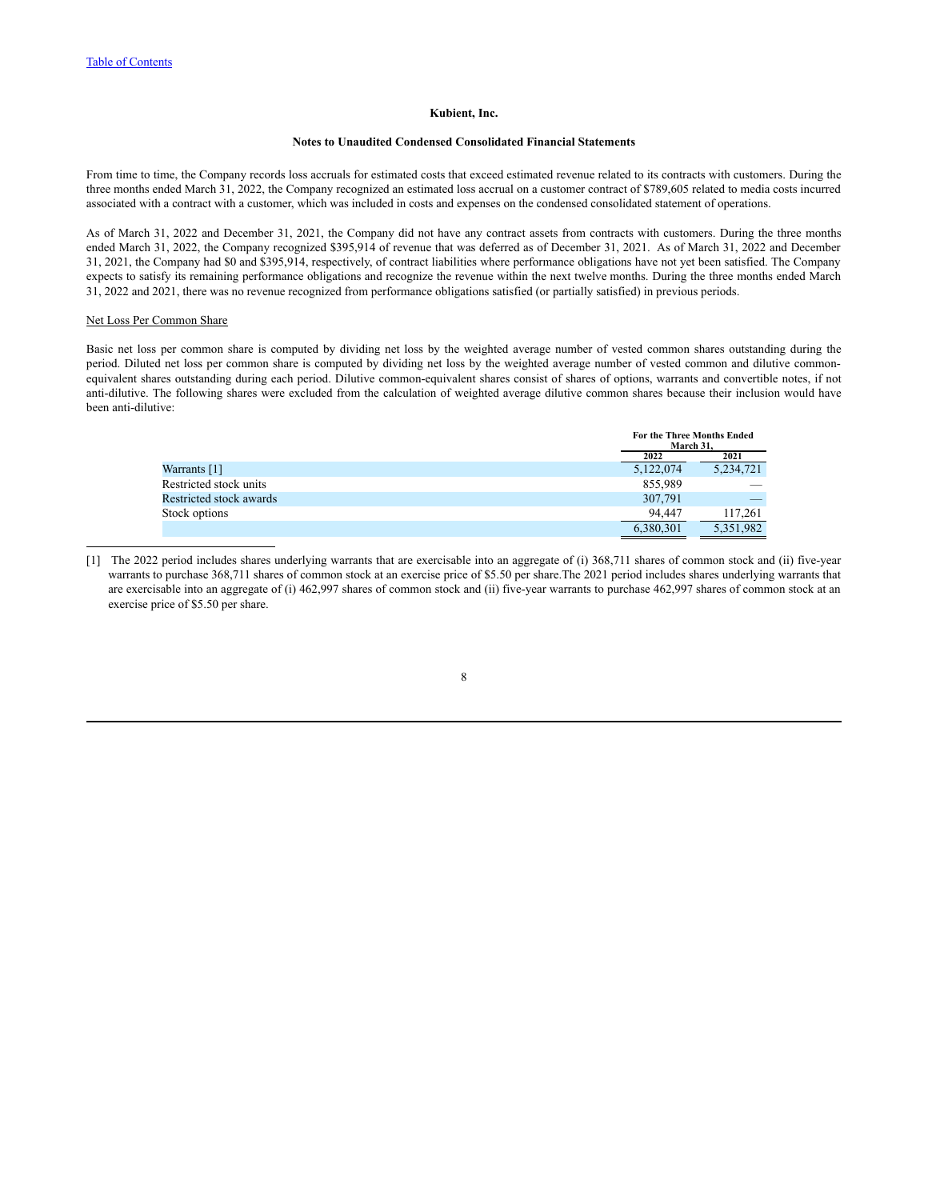#### **Notes to Unaudited Condensed Consolidated Financial Statements**

From time to time, the Company records loss accruals for estimated costs that exceed estimated revenue related to its contracts with customers. During the three months ended March 31, 2022, the Company recognized an estimated loss accrual on a customer contract of \$789,605 related to media costs incurred associated with a contract with a customer, which was included in costs and expenses on the condensed consolidated statement of operations.

As of March 31, 2022 and December 31, 2021, the Company did not have any contract assets from contracts with customers. During the three months ended March 31, 2022, the Company recognized \$395,914 of revenue that was deferred as of December 31, 2021. As of March 31, 2022 and December 31, 2021, the Company had \$0 and \$395,914, respectively, of contract liabilities where performance obligations have not yet been satisfied. The Company expects to satisfy its remaining performance obligations and recognize the revenue within the next twelve months. During the three months ended March 31, 2022 and 2021, there was no revenue recognized from performance obligations satisfied (or partially satisfied) in previous periods.

#### Net Loss Per Common Share

Basic net loss per common share is computed by dividing net loss by the weighted average number of vested common shares outstanding during the period. Diluted net loss per common share is computed by dividing net loss by the weighted average number of vested common and dilutive commonequivalent shares outstanding during each period. Dilutive common-equivalent shares consist of shares of options, warrants and convertible notes, if not anti-dilutive. The following shares were excluded from the calculation of weighted average dilutive common shares because their inclusion would have been anti-dilutive:

|                         | <b>For the Three Months Ended</b><br>March 31. |           |
|-------------------------|------------------------------------------------|-----------|
|                         | 2022                                           | 2021      |
| Warrants [1]            | 5,122,074                                      | 5,234,721 |
| Restricted stock units  | 855.989                                        |           |
| Restricted stock awards | 307,791                                        |           |
| Stock options           | 94.447                                         | 117.261   |
|                         | 6,380,301                                      | 5,351,982 |

[1] The 2022 period includes shares underlying warrants that are exercisable into an aggregate of (i) 368,711 shares of common stock and (ii) five-year warrants to purchase 368,711 shares of common stock at an exercise price of \$5.50 per share.The 2021 period includes shares underlying warrants that are exercisable into an aggregate of (i) 462,997 shares of common stock and (ii) five-year warrants to purchase 462,997 shares of common stock at an exercise price of \$5.50 per share.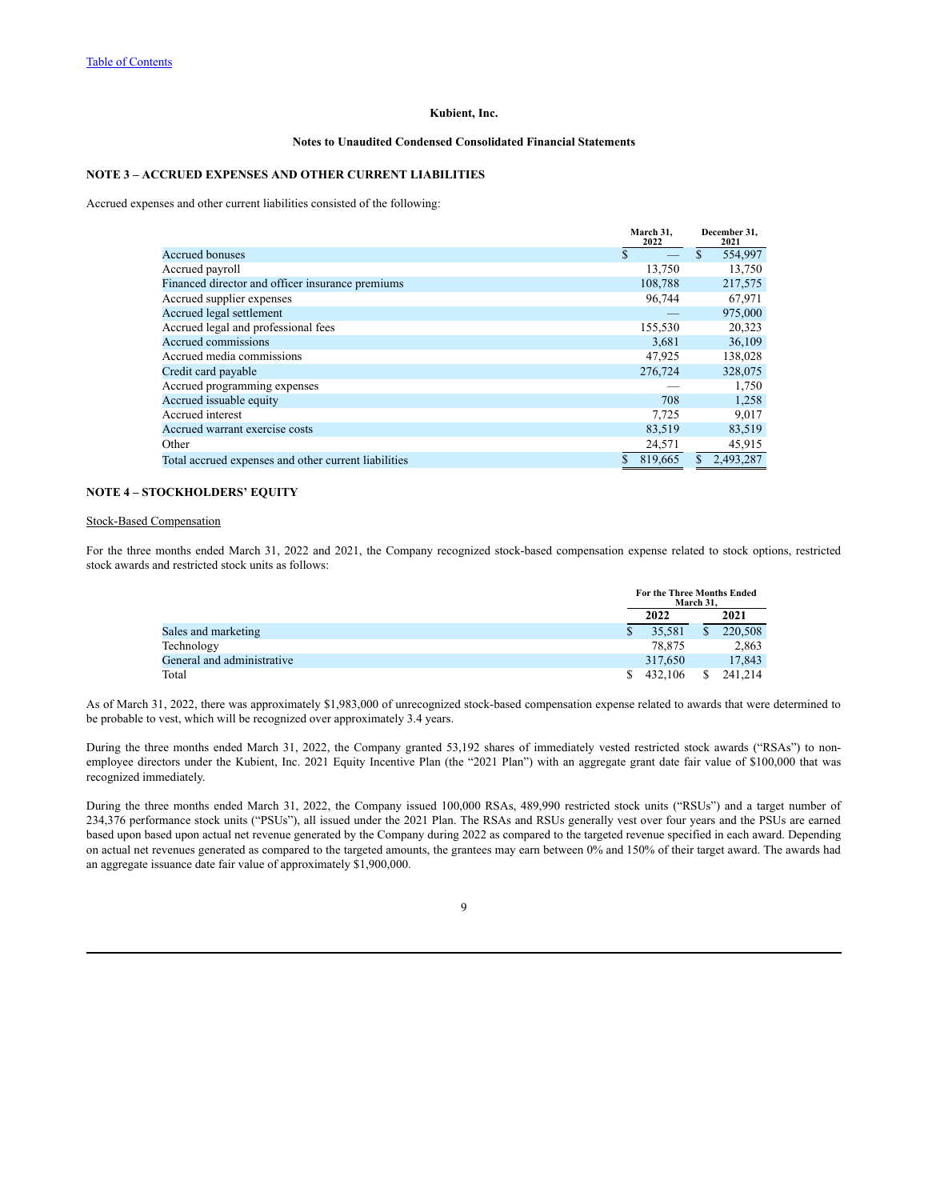#### **Notes to Unaudited Condensed Consolidated Financial Statements**

## **NOTE 3 – ACCRUED EXPENSES AND OTHER CURRENT LIABILITIES**

Accrued expenses and other current liabilities consisted of the following:

|                                                      | March 31,<br>2022 | December 31,<br>2021    |
|------------------------------------------------------|-------------------|-------------------------|
| Accrued bonuses                                      | \$                | $\mathbb{S}$<br>554,997 |
| Accrued payroll                                      | 13,750            | 13,750                  |
| Financed director and officer insurance premiums     | 108,788           | 217,575                 |
| Accrued supplier expenses                            | 96,744            | 67,971                  |
| Accrued legal settlement                             |                   | 975,000                 |
| Accrued legal and professional fees                  | 155,530           | 20,323                  |
| Accrued commissions                                  | 3,681             | 36,109                  |
| Accrued media commissions                            | 47,925            | 138,028                 |
| Credit card payable                                  | 276,724           | 328,075                 |
| Accrued programming expenses                         |                   | 1,750                   |
| Accrued issuable equity                              | 708               | 1,258                   |
| Accrued interest                                     | 7,725             | 9,017                   |
| Accrued warrant exercise costs                       | 83,519            | 83,519                  |
| Other                                                | 24,571            | 45,915                  |
| Total accrued expenses and other current liabilities | 819,665           | 2,493,287<br>S          |

#### **NOTE 4 – STOCKHOLDERS' EQUITY**

#### Stock-Based Compensation

For the three months ended March 31, 2022 and 2021, the Company recognized stock-based compensation expense related to stock options, restricted stock awards and restricted stock units as follows:

|                            | <b>For the Three Months Ended</b><br>March 31. |         |
|----------------------------|------------------------------------------------|---------|
|                            | 2022                                           | 2021    |
| Sales and marketing        | 35.581                                         | 220,508 |
| Technology                 | 78.875                                         | 2.863   |
| General and administrative | 317,650                                        | 17.843  |
| Total                      | 432.106                                        | 241.214 |

As of March 31, 2022, there was approximately \$1,983,000 of unrecognized stock-based compensation expense related to awards that were determined to be probable to vest, which will be recognized over approximately 3.4 years.

During the three months ended March 31, 2022, the Company granted 53,192 shares of immediately vested restricted stock awards ("RSAs") to nonemployee directors under the Kubient, Inc. 2021 Equity Incentive Plan (the "2021 Plan") with an aggregate grant date fair value of \$100,000 that was recognized immediately.

During the three months ended March 31, 2022, the Company issued 100,000 RSAs, 489,990 restricted stock units ("RSUs") and a target number of 234,376 performance stock units ("PSUs"), all issued under the 2021 Plan. The RSAs and RSUs generally vest over four years and the PSUs are earned based upon based upon actual net revenue generated by the Company during 2022 as compared to the targeted revenue specified in each award. Depending on actual net revenues generated as compared to the targeted amounts, the grantees may earn between 0% and 150% of their target award. The awards had an aggregate issuance date fair value of approximately \$1,900,000.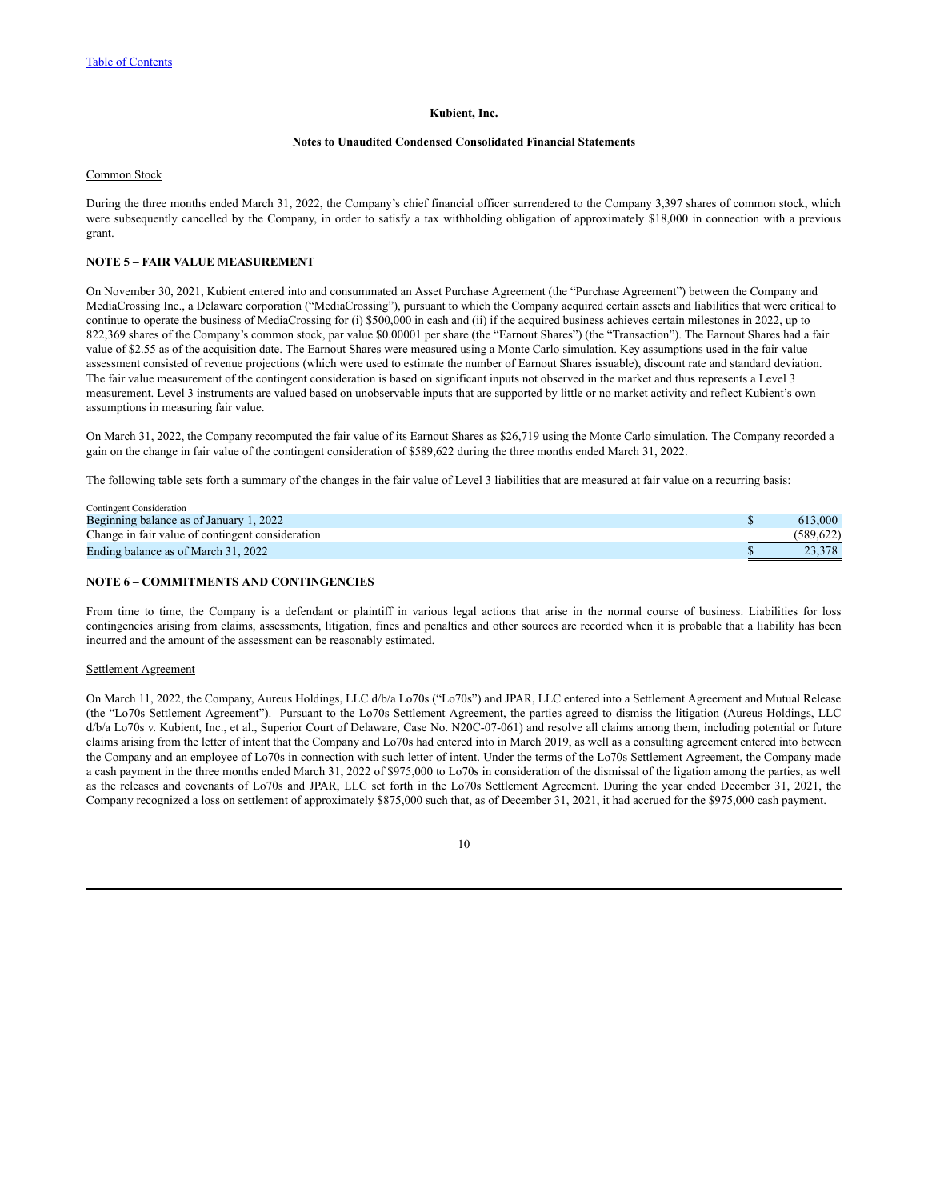#### **Notes to Unaudited Condensed Consolidated Financial Statements**

#### Common Stock

During the three months ended March 31, 2022, the Company's chief financial officer surrendered to the Company 3,397 shares of common stock, which were subsequently cancelled by the Company, in order to satisfy a tax withholding obligation of approximately \$18,000 in connection with a previous grant.

#### **NOTE 5 – FAIR VALUE MEASUREMENT**

On November 30, 2021, Kubient entered into and consummated an Asset Purchase Agreement (the "Purchase Agreement") between the Company and MediaCrossing Inc., a Delaware corporation ("MediaCrossing"), pursuant to which the Company acquired certain assets and liabilities that were critical to continue to operate the business of MediaCrossing for (i) \$500,000 in cash and (ii) if the acquired business achieves certain milestones in 2022, up to 822,369 shares of the Company's common stock, par value \$0.00001 per share (the "Earnout Shares") (the "Transaction"). The Earnout Shares had a fair value of \$2.55 as of the acquisition date. The Earnout Shares were measured using a Monte Carlo simulation. Key assumptions used in the fair value assessment consisted of revenue projections (which were used to estimate the number of Earnout Shares issuable), discount rate and standard deviation. The fair value measurement of the contingent consideration is based on significant inputs not observed in the market and thus represents a Level 3 measurement. Level 3 instruments are valued based on unobservable inputs that are supported by little or no market activity and reflect Kubient's own assumptions in measuring fair value.

On March 31, 2022, the Company recomputed the fair value of its Earnout Shares as \$26,719 using the Monte Carlo simulation. The Company recorded a gain on the change in fair value of the contingent consideration of \$589,622 during the three months ended March 31, 2022.

The following table sets forth a summary of the changes in the fair value of Level 3 liabilities that are measured at fair value on a recurring basis:

| <b>Contingent Consideration</b>                  |            |
|--------------------------------------------------|------------|
| Beginning balance as of January 1, 2022          | 613.000    |
| Change in fair value of contingent consideration | (589, 622) |
| Ending balance as of March 31, 2022              | 23.378     |

#### **NOTE 6 – COMMITMENTS AND CONTINGENCIES**

From time to time, the Company is a defendant or plaintiff in various legal actions that arise in the normal course of business. Liabilities for loss contingencies arising from claims, assessments, litigation, fines and penalties and other sources are recorded when it is probable that a liability has been incurred and the amount of the assessment can be reasonably estimated.

#### Settlement Agreement

On March 11, 2022, the Company, Aureus Holdings, LLC d/b/a Lo70s ("Lo70s") and JPAR, LLC entered into a Settlement Agreement and Mutual Release (the "Lo70s Settlement Agreement"). Pursuant to the Lo70s Settlement Agreement, the parties agreed to dismiss the litigation (Aureus Holdings, LLC d/b/a Lo70s v. Kubient, Inc., et al., Superior Court of Delaware, Case No. N20C-07-061) and resolve all claims among them, including potential or future claims arising from the letter of intent that the Company and Lo70s had entered into in March 2019, as well as a consulting agreement entered into between the Company and an employee of Lo70s in connection with such letter of intent. Under the terms of the Lo70s Settlement Agreement, the Company made a cash payment in the three months ended March 31, 2022 of \$975,000 to Lo70s in consideration of the dismissal of the ligation among the parties, as well as the releases and covenants of Lo70s and JPAR, LLC set forth in the Lo70s Settlement Agreement. During the year ended December 31, 2021, the Company recognized a loss on settlement of approximately \$875,000 such that, as of December 31, 2021, it had accrued for the \$975,000 cash payment.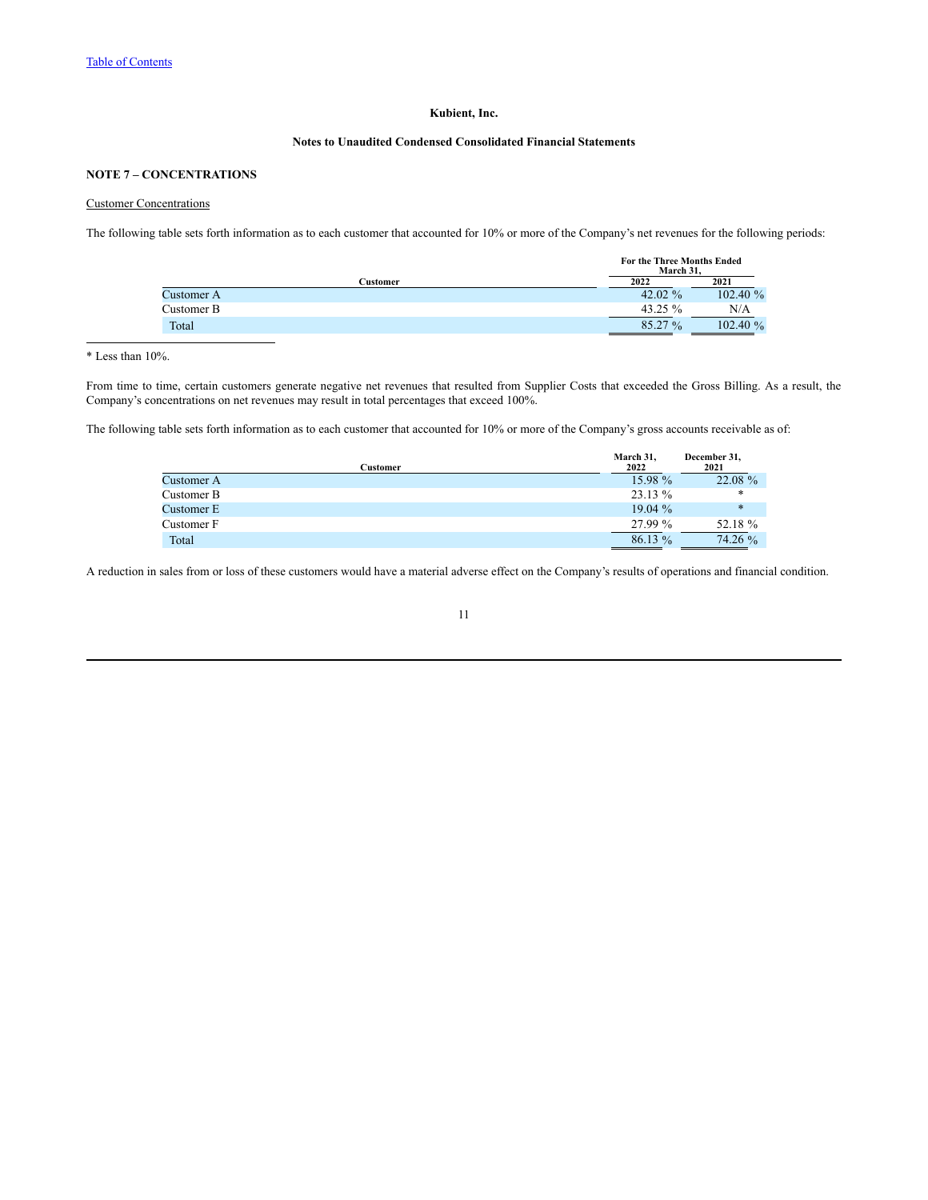## **Notes to Unaudited Condensed Consolidated Financial Statements**

## **NOTE 7 – CONCENTRATIONS**

#### Customer Concentrations

The following table sets forth information as to each customer that accounted for 10% or more of the Company's net revenues for the following periods:

|            |          |            | <b>For the Three Months Ended</b><br>March 31. |  |
|------------|----------|------------|------------------------------------------------|--|
|            | Customer | 2022       | 2021                                           |  |
| Customer A |          | 42.02 $\%$ | 102.40%                                        |  |
| Customer B |          | 43.25 %    | N/A                                            |  |
| Total      |          | 85.27 %    | 102.40%                                        |  |

#### \* Less than 10%.

From time to time, certain customers generate negative net revenues that resulted from Supplier Costs that exceeded the Gross Billing. As a result, the Company's concentrations on net revenues may result in total percentages that exceed 100%.

The following table sets forth information as to each customer that accounted for 10% or more of the Company's gross accounts receivable as of:

| Customer   | March 31,<br>2022 | December 31,<br>2021 |
|------------|-------------------|----------------------|
| Customer A | 15.98 %           | 22.08 %              |
| Customer B | 23.13 %           | *                    |
| Customer E | 19.04 %           | *                    |
| Customer F | 27.99 %           | 52.18 %              |
| Total      | $86.13\%$         | 74.26 %              |

A reduction in sales from or loss of these customers would have a material adverse effect on the Company's results of operations and financial condition.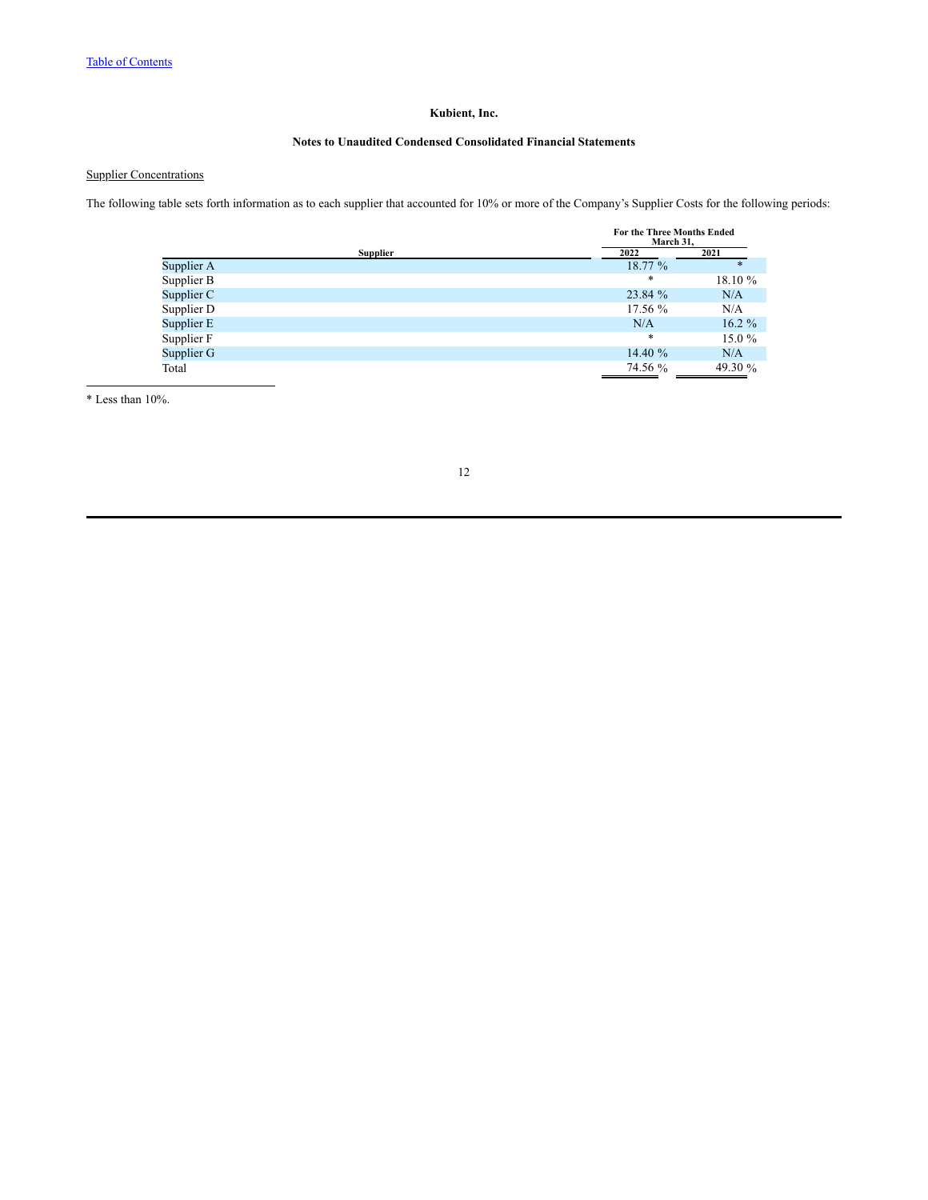## **Notes to Unaudited Condensed Consolidated Financial Statements**

## **Supplier Concentrations**

The following table sets forth information as to each supplier that accounted for 10% or more of the Company's Supplier Costs for the following periods:

|            |                 | <b>For the Three Months Ended</b><br>March 31, |          |
|------------|-----------------|------------------------------------------------|----------|
|            | <b>Supplier</b> | 2022                                           | 2021     |
| Supplier A |                 | 18.77 %                                        | *        |
| Supplier B |                 | *                                              | 18.10 %  |
| Supplier C |                 | 23.84 %                                        | N/A      |
| Supplier D |                 | 17.56 %                                        | N/A      |
| Supplier E |                 | N/A                                            | $16.2\%$ |
| Supplier F |                 | $\ast$                                         | 15.0%    |
| Supplier G |                 | 14.40 %                                        | N/A      |
| Total      |                 | 74.56 %                                        | 49.30 %  |

\* Less than 10%.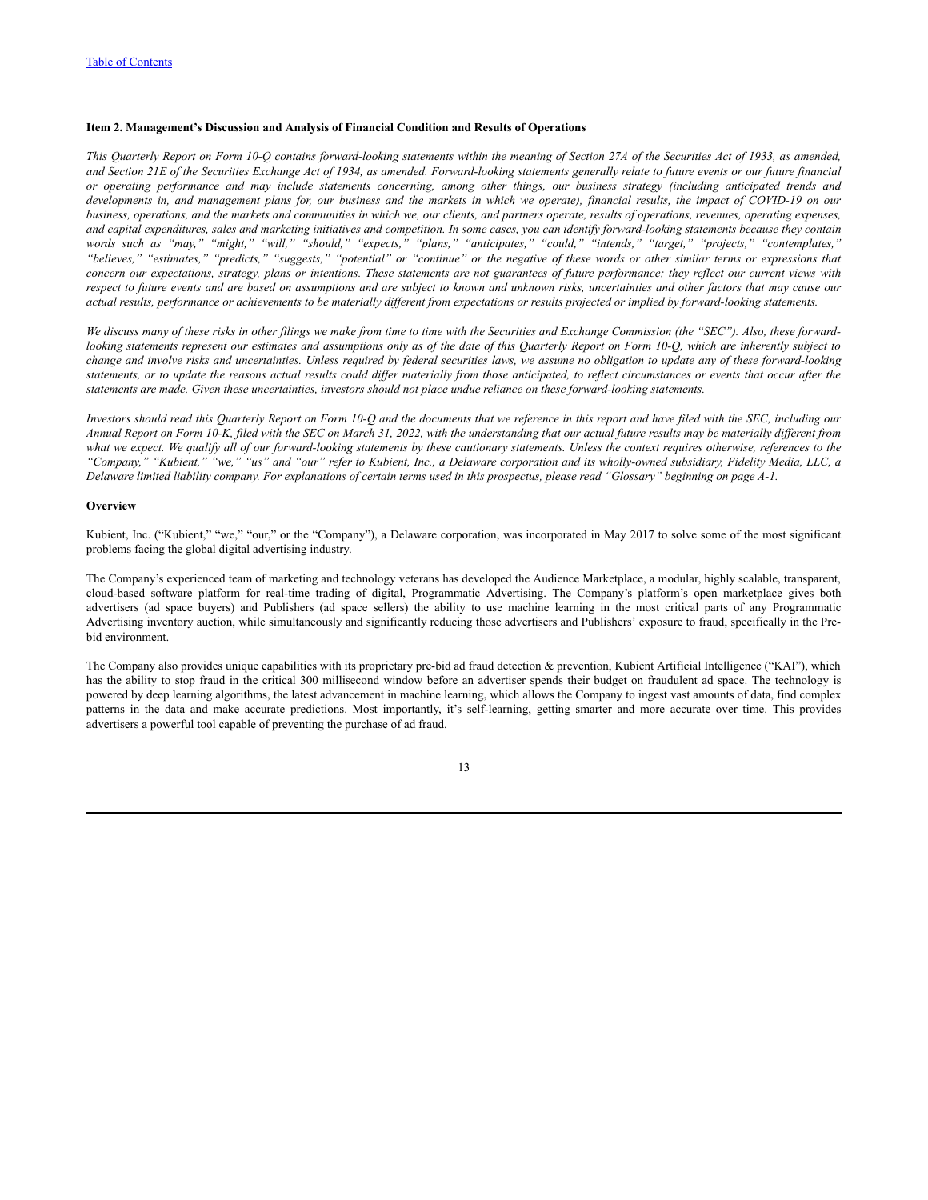#### <span id="page-14-0"></span>**Item 2. Management's Discussion and Analysis of Financial Condition and Results of Operations**

This Quarterly Report on Form 10-Q contains forward-looking statements within the meaning of Section 27A of the Securities Act of 1933, as amended, and Section 21E of the Securities Exchange Act of 1934, as amended. Forward-looking statements generally relate to future events or our future financial or operating performance and may include statements concerning, among other things, our business strategy (including anticipated trends and developments in, and management plans for, our business and the markets in which we operate), financial results, the impact of COVID-19 on our business, operations, and the markets and communities in which we, our clients, and partners operate, results of operations, revenues, operating expenses, and capital expenditures, sales and marketing initiatives and competition. In some cases, you can identify forward-looking statements because they contain words such as "may," "might," "will," "should," "expects," "plans," "anticipates," "could," "intends," "target," "projects," "contemplates," "believes," "estimates," "predicts," "suggests," "potential" or "continue" or the negative of these words or other similar terms or expressions that concern our expectations, strategy, plans or intentions. These statements are not guarantees of future performance; they reflect our current views with respect to future events and are based on assumptions and are subject to known and unknown risks, uncertainties and other factors that may cause our actual results, performance or achievements to be materially different from expectations or results projected or implied by forward-looking statements.

We discuss many of these risks in other filings we make from time to time with the Securities and Exchange Commission (the "SEC"). Also, these forwardlooking statements represent our estimates and assumptions only as of the date of this Quarterly Report on Form 10-Q, which are inherently subject to change and involve risks and uncertainties. Unless required by federal securities laws, we assume no obligation to update any of these forward-looking statements, or to update the reasons actual results could differ materially from those anticipated, to reflect circumstances or events that occur after the statements are made. Given these uncertainties, investors should not place undue reliance on these forward-looking statements.

Investors should read this Quarterly Report on Form 10-Q and the documents that we reference in this report and have filed with the SEC, including our Annual Report on Form 10-K, filed with the SEC on March 31, 2022, with the understanding that our actual future results may be materially different from what we expect. We qualify all of our forward-looking statements by these cautionary statements. Unless the context requires otherwise, references to the "Company," "Kubient," "we," "us" and "our" refer to Kubient, Inc., a Delaware corporation and its wholly-owned subsidiary, Fidelity Media, LLC, a Delaware limited liability company. For explanations of certain terms used in this prospectus, please read "Glossary" beginning on page A-1.

#### **Overview**

Kubient, Inc. ("Kubient," "we," "our," or the "Company"), a Delaware corporation, was incorporated in May 2017 to solve some of the most significant problems facing the global digital advertising industry.

The Company's experienced team of marketing and technology veterans has developed the Audience Marketplace, a modular, highly scalable, transparent, cloud-based software platform for real-time trading of digital, Programmatic Advertising. The Company's platform's open marketplace gives both advertisers (ad space buyers) and Publishers (ad space sellers) the ability to use machine learning in the most critical parts of any Programmatic Advertising inventory auction, while simultaneously and significantly reducing those advertisers and Publishers' exposure to fraud, specifically in the Prebid environment.

The Company also provides unique capabilities with its proprietary pre-bid ad fraud detection & prevention, Kubient Artificial Intelligence ("KAI"), which has the ability to stop fraud in the critical 300 millisecond window before an advertiser spends their budget on fraudulent ad space. The technology is powered by deep learning algorithms, the latest advancement in machine learning, which allows the Company to ingest vast amounts of data, find complex patterns in the data and make accurate predictions. Most importantly, it's self-learning, getting smarter and more accurate over time. This provides advertisers a powerful tool capable of preventing the purchase of ad fraud.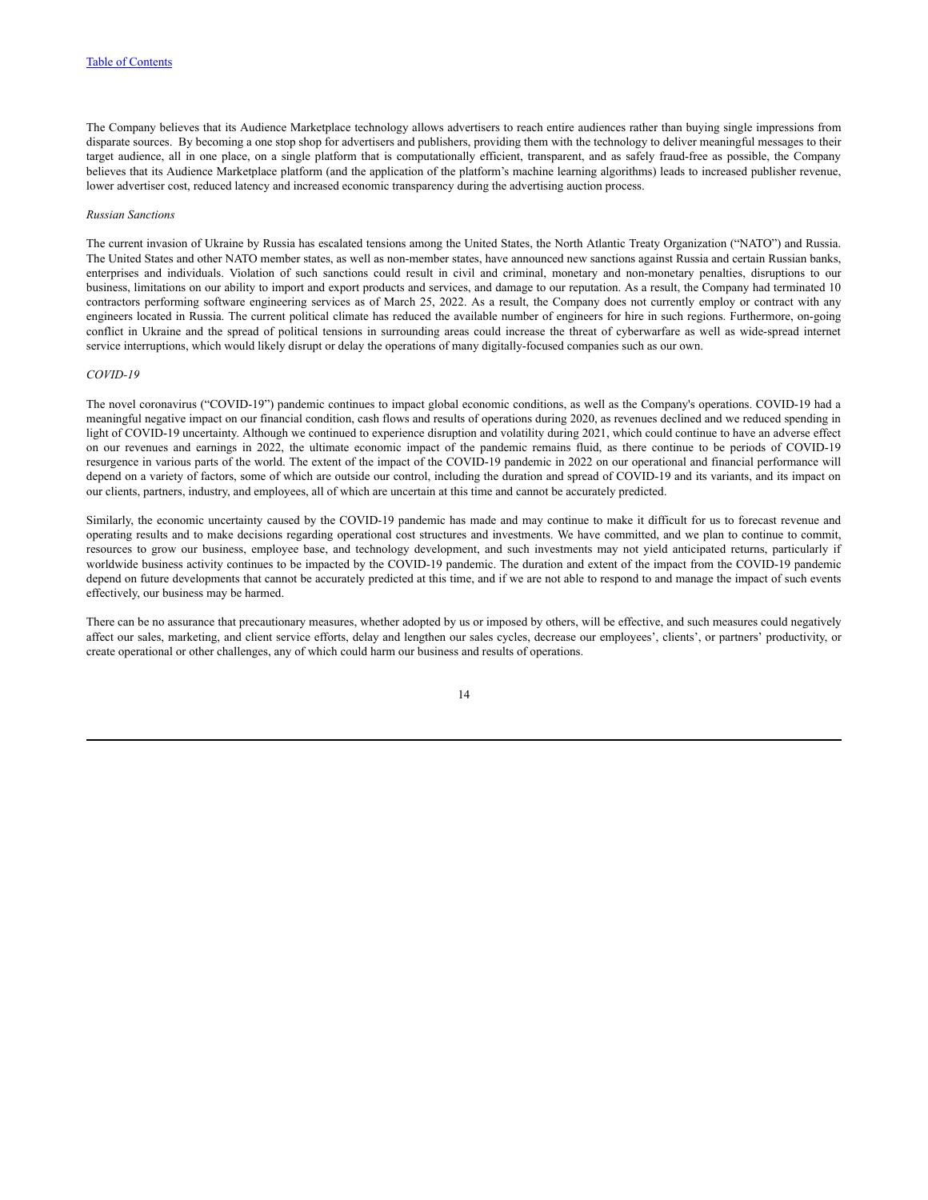The Company believes that its Audience Marketplace technology allows advertisers to reach entire audiences rather than buying single impressions from disparate sources. By becoming a one stop shop for advertisers and publishers, providing them with the technology to deliver meaningful messages to their target audience, all in one place, on a single platform that is computationally efficient, transparent, and as safely fraud-free as possible, the Company believes that its Audience Marketplace platform (and the application of the platform's machine learning algorithms) leads to increased publisher revenue, lower advertiser cost, reduced latency and increased economic transparency during the advertising auction process.

#### *Russian Sanctions*

The current invasion of Ukraine by Russia has escalated tensions among the United States, the North Atlantic Treaty Organization ("NATO") and Russia. The United States and other NATO member states, as well as non-member states, have announced new sanctions against Russia and certain Russian banks, enterprises and individuals. Violation of such sanctions could result in civil and criminal, monetary and non-monetary penalties, disruptions to our business, limitations on our ability to import and export products and services, and damage to our reputation. As a result, the Company had terminated 10 contractors performing software engineering services as of March 25, 2022. As a result, the Company does not currently employ or contract with any engineers located in Russia. The current political climate has reduced the available number of engineers for hire in such regions. Furthermore, on-going conflict in Ukraine and the spread of political tensions in surrounding areas could increase the threat of cyberwarfare as well as wide-spread internet service interruptions, which would likely disrupt or delay the operations of many digitally-focused companies such as our own.

#### *COVID-19*

The novel coronavirus ("COVID-19") pandemic continues to impact global economic conditions, as well as the Company's operations. COVID-19 had a meaningful negative impact on our financial condition, cash flows and results of operations during 2020, as revenues declined and we reduced spending in light of COVID-19 uncertainty. Although we continued to experience disruption and volatility during 2021, which could continue to have an adverse effect on our revenues and earnings in 2022, the ultimate economic impact of the pandemic remains fluid, as there continue to be periods of COVID-19 resurgence in various parts of the world. The extent of the impact of the COVID-19 pandemic in 2022 on our operational and financial performance will depend on a variety of factors, some of which are outside our control, including the duration and spread of COVID-19 and its variants, and its impact on our clients, partners, industry, and employees, all of which are uncertain at this time and cannot be accurately predicted.

Similarly, the economic uncertainty caused by the COVID-19 pandemic has made and may continue to make it difficult for us to forecast revenue and operating results and to make decisions regarding operational cost structures and investments. We have committed, and we plan to continue to commit, resources to grow our business, employee base, and technology development, and such investments may not yield anticipated returns, particularly if worldwide business activity continues to be impacted by the COVID-19 pandemic. The duration and extent of the impact from the COVID-19 pandemic depend on future developments that cannot be accurately predicted at this time, and if we are not able to respond to and manage the impact of such events effectively, our business may be harmed.

There can be no assurance that precautionary measures, whether adopted by us or imposed by others, will be effective, and such measures could negatively affect our sales, marketing, and client service efforts, delay and lengthen our sales cycles, decrease our employees', clients', or partners' productivity, or create operational or other challenges, any of which could harm our business and results of operations.

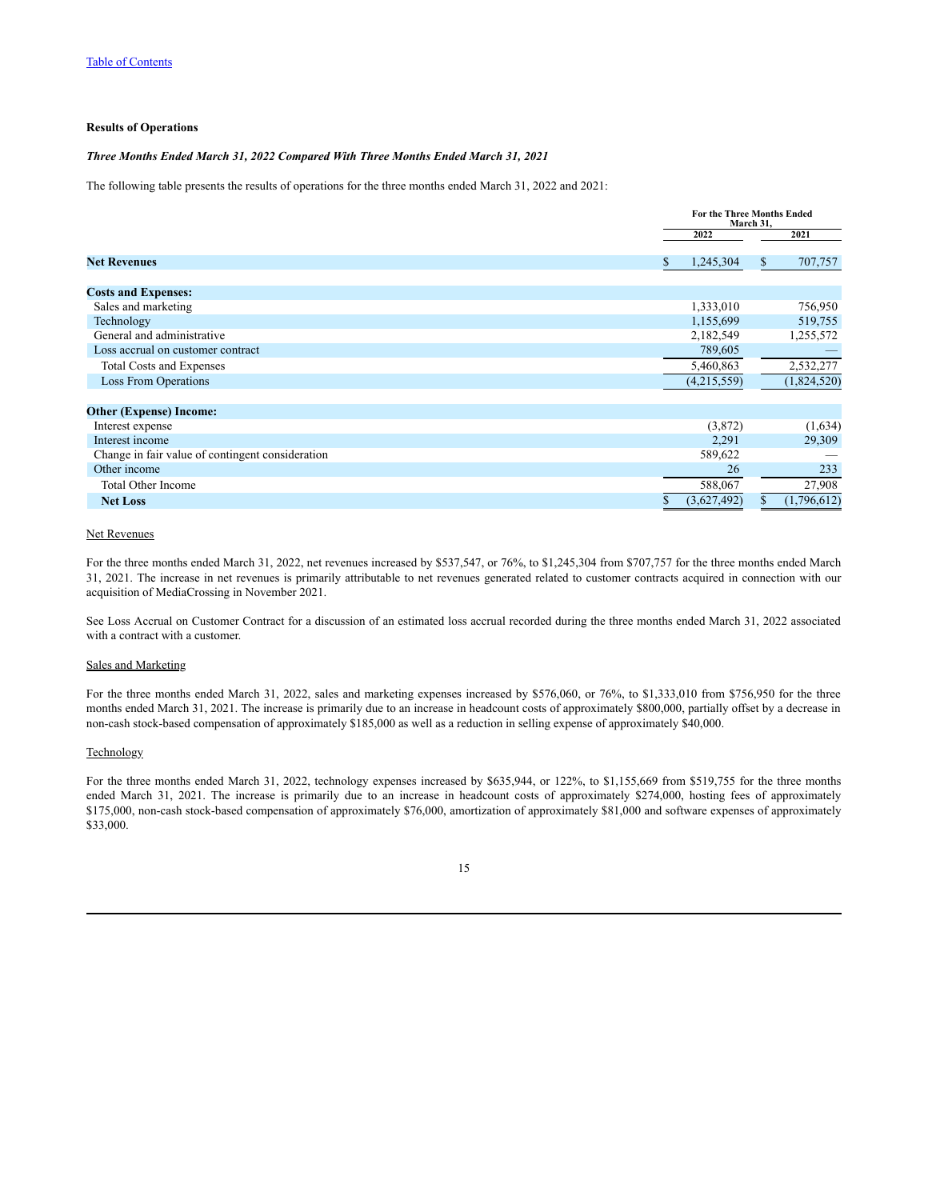#### **Results of Operations**

#### *Three Months Ended March 31, 2022 Compared With Three Months Ended March 31, 2021*

The following table presents the results of operations for the three months ended March 31, 2022 and 2021:

|                                                  |                 | <b>For the Three Months Ended</b><br>March 31, |  |  |
|--------------------------------------------------|-----------------|------------------------------------------------|--|--|
|                                                  | 2022            | 2021                                           |  |  |
| <b>Net Revenues</b>                              | 1,245,304<br>D. | 707,757<br>\$                                  |  |  |
| <b>Costs and Expenses:</b>                       |                 |                                                |  |  |
| Sales and marketing                              | 1,333,010       | 756,950                                        |  |  |
| Technology                                       | 1,155,699       | 519,755                                        |  |  |
| General and administrative                       | 2,182,549       | 1,255,572                                      |  |  |
| Loss accrual on customer contract                | 789,605         |                                                |  |  |
| <b>Total Costs and Expenses</b>                  | 5,460,863       | 2,532,277                                      |  |  |
| Loss From Operations                             | (4,215,559)     | (1,824,520)                                    |  |  |
| <b>Other (Expense) Income:</b>                   |                 |                                                |  |  |
| Interest expense                                 | (3,872)         | (1,634)                                        |  |  |
| Interest income                                  | 2,291           | 29,309                                         |  |  |
| Change in fair value of contingent consideration | 589,622         |                                                |  |  |
| Other income                                     | 26              | 233                                            |  |  |
| <b>Total Other Income</b>                        | 588,067         | 27,908                                         |  |  |
| <b>Net Loss</b>                                  | (3,627,492)     | (1,796,612)                                    |  |  |

#### Net Revenues

For the three months ended March 31, 2022, net revenues increased by \$537,547, or 76%, to \$1,245,304 from \$707,757 for the three months ended March 31, 2021. The increase in net revenues is primarily attributable to net revenues generated related to customer contracts acquired in connection with our acquisition of MediaCrossing in November 2021.

See Loss Accrual on Customer Contract for a discussion of an estimated loss accrual recorded during the three months ended March 31, 2022 associated with a contract with a customer.

#### Sales and Marketing

For the three months ended March 31, 2022, sales and marketing expenses increased by \$576,060, or 76%, to \$1,333,010 from \$756,950 for the three months ended March 31, 2021. The increase is primarily due to an increase in headcount costs of approximately \$800,000, partially offset by a decrease in non-cash stock-based compensation of approximately \$185,000 as well as a reduction in selling expense of approximately \$40,000.

#### **Technology**

For the three months ended March 31, 2022, technology expenses increased by \$635,944, or 122%, to \$1,155,669 from \$519,755 for the three months ended March 31, 2021. The increase is primarily due to an increase in headcount costs of approximately \$274,000, hosting fees of approximately \$175,000, non-cash stock-based compensation of approximately \$76,000, amortization of approximately \$81,000 and software expenses of approximately \$33,000.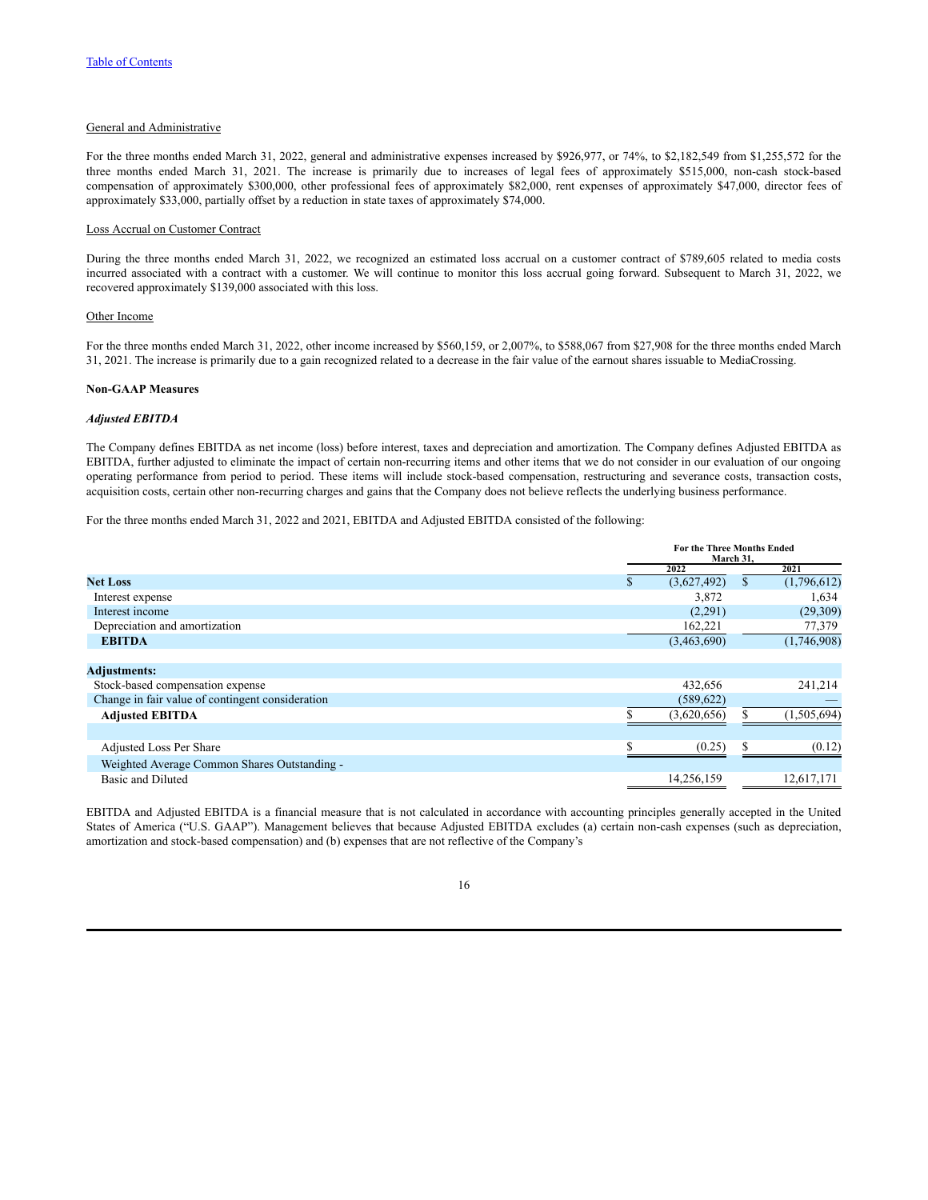#### General and Administrative

For the three months ended March 31, 2022, general and administrative expenses increased by \$926,977, or 74%, to \$2,182,549 from \$1,255,572 for the three months ended March 31, 2021. The increase is primarily due to increases of legal fees of approximately \$515,000, non-cash stock-based compensation of approximately \$300,000, other professional fees of approximately \$82,000, rent expenses of approximately \$47,000, director fees of approximately \$33,000, partially offset by a reduction in state taxes of approximately \$74,000.

#### Loss Accrual on Customer Contract

During the three months ended March 31, 2022, we recognized an estimated loss accrual on a customer contract of \$789,605 related to media costs incurred associated with a contract with a customer. We will continue to monitor this loss accrual going forward. Subsequent to March 31, 2022, we recovered approximately \$139,000 associated with this loss.

#### Other Income

For the three months ended March 31, 2022, other income increased by \$560,159, or 2,007%, to \$588,067 from \$27,908 for the three months ended March 31, 2021. The increase is primarily due to a gain recognized related to a decrease in the fair value of the earnout shares issuable to MediaCrossing.

#### **Non-GAAP Measures**

#### *Adjusted EBITDA*

The Company defines EBITDA as net income (loss) before interest, taxes and depreciation and amortization. The Company defines Adjusted EBITDA as EBITDA, further adjusted to eliminate the impact of certain non-recurring items and other items that we do not consider in our evaluation of our ongoing operating performance from period to period. These items will include stock-based compensation, restructuring and severance costs, transaction costs, acquisition costs, certain other non-recurring charges and gains that the Company does not believe reflects the underlying business performance.

For the three months ended March 31, 2022 and 2021, EBITDA and Adjusted EBITDA consisted of the following:

|                                                  |    | <b>For the Three Months Ended</b><br>March 31, |    |             |
|--------------------------------------------------|----|------------------------------------------------|----|-------------|
|                                                  |    | 2022                                           |    | 2021        |
| <b>Net Loss</b>                                  | a. | (3,627,492)                                    |    | (1,796,612) |
| Interest expense                                 |    | 3,872                                          |    | 1,634       |
| Interest income                                  |    | (2,291)                                        |    | (29,309)    |
| Depreciation and amortization                    |    | 162,221                                        |    | 77,379      |
| <b>EBITDA</b>                                    |    | (3,463,690)                                    |    | (1,746,908) |
| <b>Adjustments:</b>                              |    |                                                |    |             |
| Stock-based compensation expense                 |    | 432,656                                        |    | 241,214     |
| Change in fair value of contingent consideration |    | (589, 622)                                     |    |             |
| <b>Adjusted EBITDA</b>                           |    | (3,620,656)                                    |    | (1,505,694) |
|                                                  |    |                                                |    |             |
| Adjusted Loss Per Share                          |    | (0.25)                                         | S. | (0.12)      |
| Weighted Average Common Shares Outstanding -     |    |                                                |    |             |
| Basic and Diluted                                |    | 14,256,159                                     |    | 12,617,171  |

EBITDA and Adjusted EBITDA is a financial measure that is not calculated in accordance with accounting principles generally accepted in the United States of America ("U.S. GAAP"). Management believes that because Adjusted EBITDA excludes (a) certain non-cash expenses (such as depreciation, amortization and stock-based compensation) and (b) expenses that are not reflective of the Company's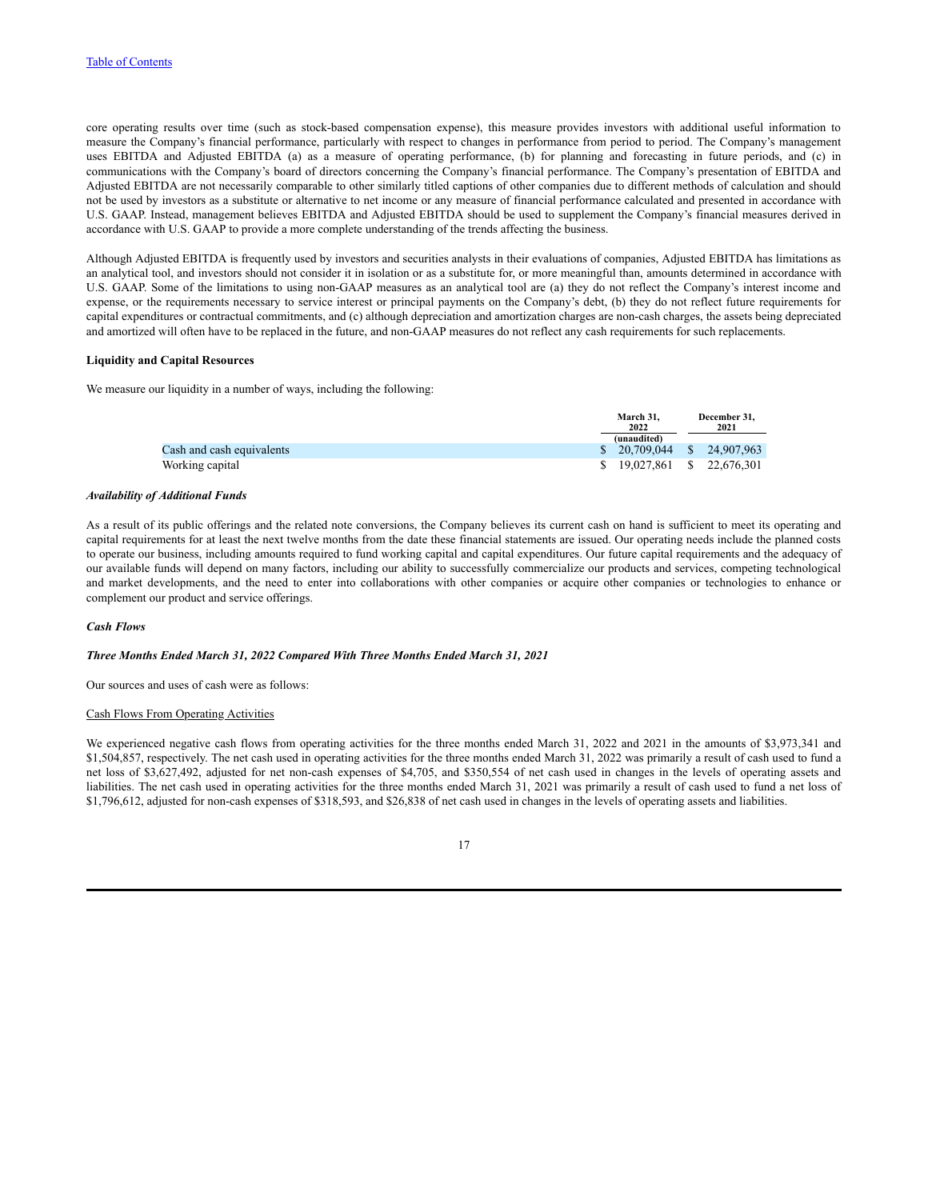core operating results over time (such as stock-based compensation expense), this measure provides investors with additional useful information to measure the Company's financial performance, particularly with respect to changes in performance from period to period. The Company's management uses EBITDA and Adjusted EBITDA (a) as a measure of operating performance, (b) for planning and forecasting in future periods, and (c) in communications with the Company's board of directors concerning the Company's financial performance. The Company's presentation of EBITDA and Adjusted EBITDA are not necessarily comparable to other similarly titled captions of other companies due to different methods of calculation and should not be used by investors as a substitute or alternative to net income or any measure of financial performance calculated and presented in accordance with U.S. GAAP. Instead, management believes EBITDA and Adjusted EBITDA should be used to supplement the Company's financial measures derived in accordance with U.S. GAAP to provide a more complete understanding of the trends affecting the business.

Although Adjusted EBITDA is frequently used by investors and securities analysts in their evaluations of companies, Adjusted EBITDA has limitations as an analytical tool, and investors should not consider it in isolation or as a substitute for, or more meaningful than, amounts determined in accordance with U.S. GAAP. Some of the limitations to using non-GAAP measures as an analytical tool are (a) they do not reflect the Company's interest income and expense, or the requirements necessary to service interest or principal payments on the Company's debt, (b) they do not reflect future requirements for capital expenditures or contractual commitments, and (c) although depreciation and amortization charges are non-cash charges, the assets being depreciated and amortized will often have to be replaced in the future, and non-GAAP measures do not reflect any cash requirements for such replacements.

#### **Liquidity and Capital Resources**

We measure our liquidity in a number of ways, including the following:

|                           | маген эт.<br>2022 |                             | -ресенцег эт.<br>2021 |  |
|---------------------------|-------------------|-----------------------------|-----------------------|--|
|                           |                   | (unaudited)                 |                       |  |
| Cash and cash equivalents |                   | $$20,709,044$ $$24,907,963$ |                       |  |
| Working capital           |                   | \$ 19.027.861 \$ 22.676.301 |                       |  |

**March 31, December 31,**

#### *Availability of Additional Funds*

As a result of its public offerings and the related note conversions, the Company believes its current cash on hand is sufficient to meet its operating and capital requirements for at least the next twelve months from the date these financial statements are issued. Our operating needs include the planned costs to operate our business, including amounts required to fund working capital and capital expenditures. Our future capital requirements and the adequacy of our available funds will depend on many factors, including our ability to successfully commercialize our products and services, competing technological and market developments, and the need to enter into collaborations with other companies or acquire other companies or technologies to enhance or complement our product and service offerings.

#### *Cash Flows*

#### *Three Months Ended March 31, 2022 Compared With Three Months Ended March 31, 2021*

Our sources and uses of cash were as follows:

#### Cash Flows From Operating Activities

We experienced negative cash flows from operating activities for the three months ended March 31, 2022 and 2021 in the amounts of \$3,973,341 and \$1,504,857, respectively. The net cash used in operating activities for the three months ended March 31, 2022 was primarily a result of cash used to fund a net loss of \$3,627,492, adjusted for net non-cash expenses of \$4,705, and \$350,554 of net cash used in changes in the levels of operating assets and liabilities. The net cash used in operating activities for the three months ended March 31, 2021 was primarily a result of cash used to fund a net loss of \$1,796,612, adjusted for non-cash expenses of \$318,593, and \$26,838 of net cash used in changes in the levels of operating assets and liabilities.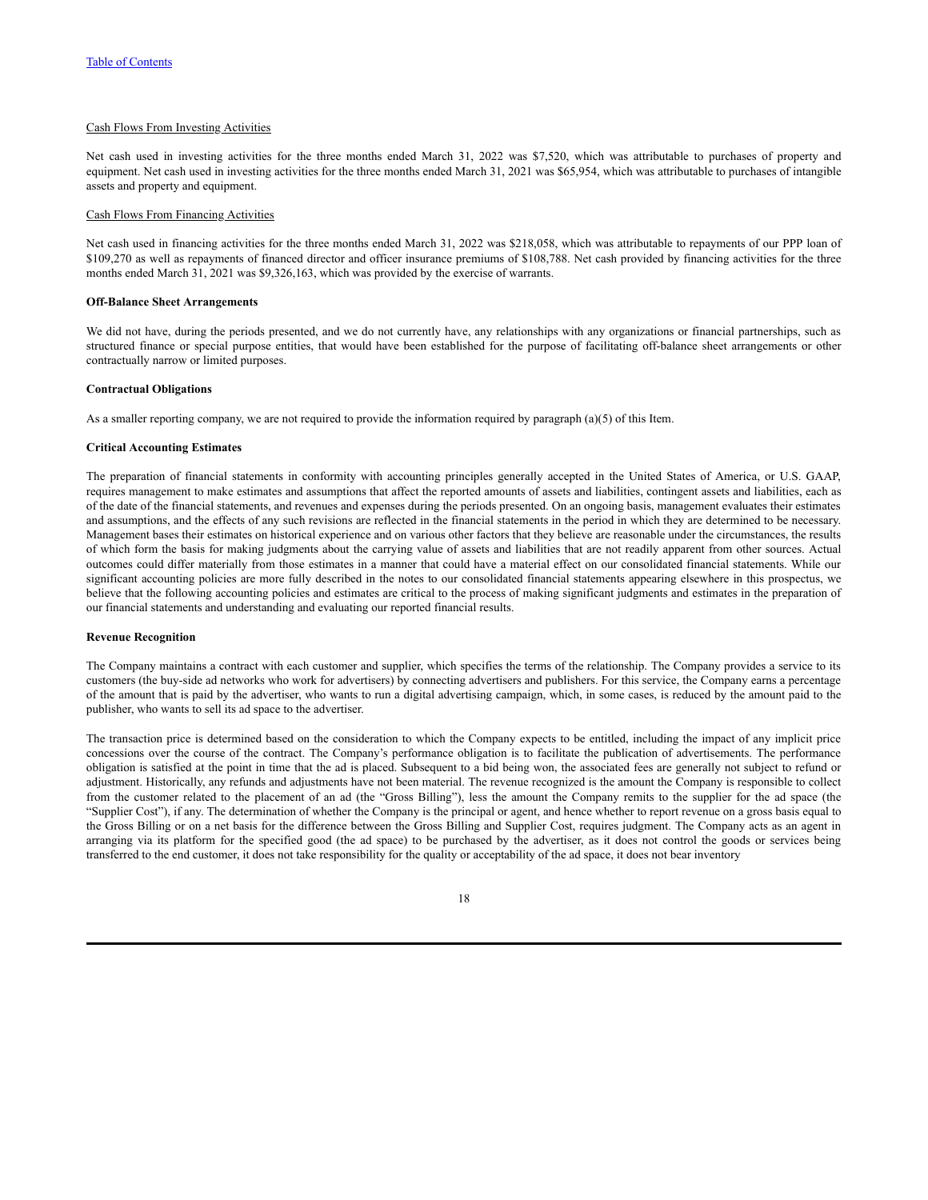#### Cash Flows From Investing Activities

Net cash used in investing activities for the three months ended March 31, 2022 was \$7,520, which was attributable to purchases of property and equipment. Net cash used in investing activities for the three months ended March 31, 2021 was \$65,954, which was attributable to purchases of intangible assets and property and equipment.

#### Cash Flows From Financing Activities

Net cash used in financing activities for the three months ended March 31, 2022 was \$218,058, which was attributable to repayments of our PPP loan of \$109,270 as well as repayments of financed director and officer insurance premiums of \$108,788. Net cash provided by financing activities for the three months ended March 31, 2021 was \$9,326,163, which was provided by the exercise of warrants.

#### **Off-Balance Sheet Arrangements**

We did not have, during the periods presented, and we do not currently have, any relationships with any organizations or financial partnerships, such as structured finance or special purpose entities, that would have been established for the purpose of facilitating off-balance sheet arrangements or other contractually narrow or limited purposes.

#### **Contractual Obligations**

As a smaller reporting company, we are not required to provide the information required by paragraph (a)(5) of this Item.

#### **Critical Accounting Estimates**

The preparation of financial statements in conformity with accounting principles generally accepted in the United States of America, or U.S. GAAP, requires management to make estimates and assumptions that affect the reported amounts of assets and liabilities, contingent assets and liabilities, each as of the date of the financial statements, and revenues and expenses during the periods presented. On an ongoing basis, management evaluates their estimates and assumptions, and the effects of any such revisions are reflected in the financial statements in the period in which they are determined to be necessary. Management bases their estimates on historical experience and on various other factors that they believe are reasonable under the circumstances, the results of which form the basis for making judgments about the carrying value of assets and liabilities that are not readily apparent from other sources. Actual outcomes could differ materially from those estimates in a manner that could have a material effect on our consolidated financial statements. While our significant accounting policies are more fully described in the notes to our consolidated financial statements appearing elsewhere in this prospectus, we believe that the following accounting policies and estimates are critical to the process of making significant judgments and estimates in the preparation of our financial statements and understanding and evaluating our reported financial results.

#### **Revenue Recognition**

The Company maintains a contract with each customer and supplier, which specifies the terms of the relationship. The Company provides a service to its customers (the buy-side ad networks who work for advertisers) by connecting advertisers and publishers. For this service, the Company earns a percentage of the amount that is paid by the advertiser, who wants to run a digital advertising campaign, which, in some cases, is reduced by the amount paid to the publisher, who wants to sell its ad space to the advertiser.

The transaction price is determined based on the consideration to which the Company expects to be entitled, including the impact of any implicit price concessions over the course of the contract. The Company's performance obligation is to facilitate the publication of advertisements. The performance obligation is satisfied at the point in time that the ad is placed. Subsequent to a bid being won, the associated fees are generally not subject to refund or adjustment. Historically, any refunds and adjustments have not been material. The revenue recognized is the amount the Company is responsible to collect from the customer related to the placement of an ad (the "Gross Billing"), less the amount the Company remits to the supplier for the ad space (the "Supplier Cost"), if any. The determination of whether the Company is the principal or agent, and hence whether to report revenue on a gross basis equal to the Gross Billing or on a net basis for the difference between the Gross Billing and Supplier Cost, requires judgment. The Company acts as an agent in arranging via its platform for the specified good (the ad space) to be purchased by the advertiser, as it does not control the goods or services being transferred to the end customer, it does not take responsibility for the quality or acceptability of the ad space, it does not bear inventory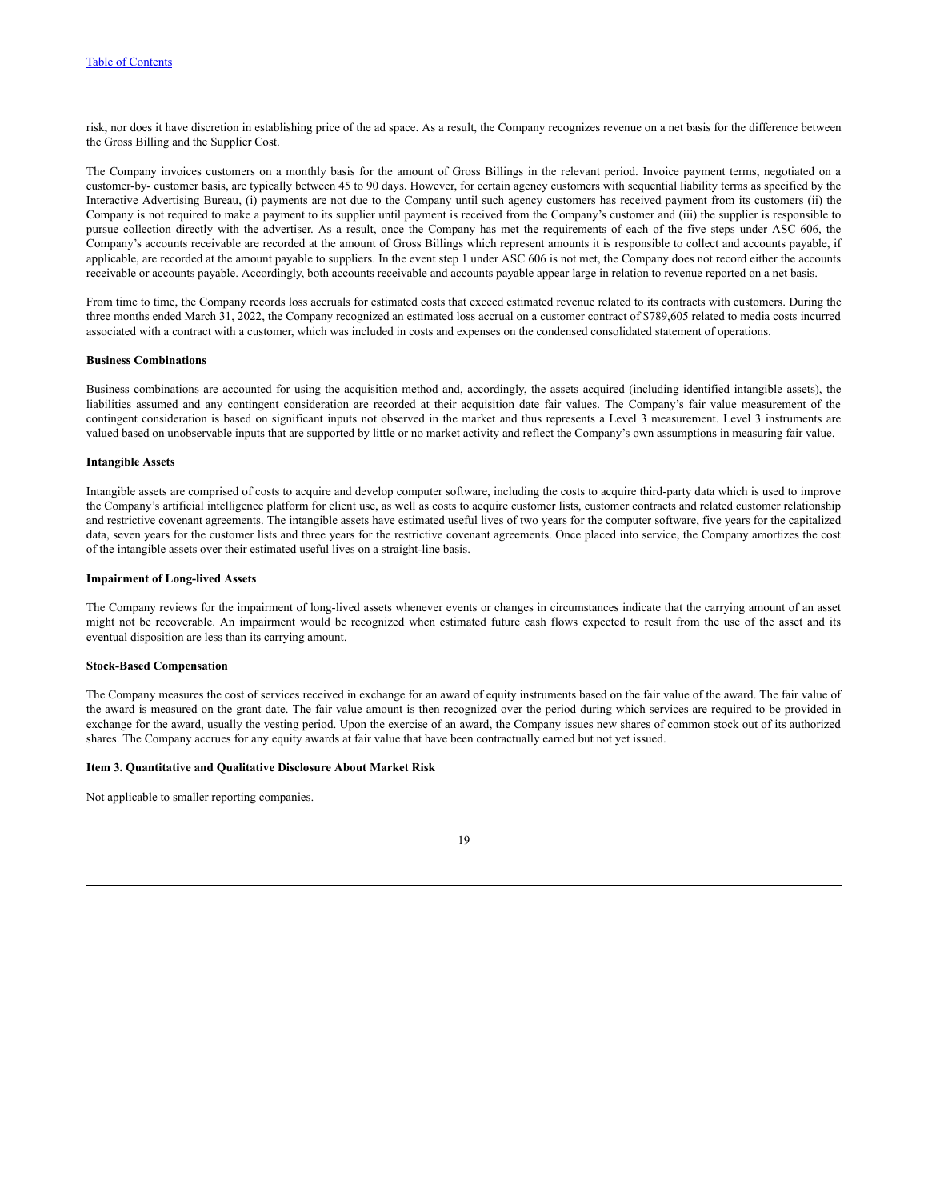risk, nor does it have discretion in establishing price of the ad space. As a result, the Company recognizes revenue on a net basis for the difference between the Gross Billing and the Supplier Cost.

The Company invoices customers on a monthly basis for the amount of Gross Billings in the relevant period. Invoice payment terms, negotiated on a customer-by- customer basis, are typically between 45 to 90 days. However, for certain agency customers with sequential liability terms as specified by the Interactive Advertising Bureau, (i) payments are not due to the Company until such agency customers has received payment from its customers (ii) the Company is not required to make a payment to its supplier until payment is received from the Company's customer and (iii) the supplier is responsible to pursue collection directly with the advertiser. As a result, once the Company has met the requirements of each of the five steps under ASC 606, the Company's accounts receivable are recorded at the amount of Gross Billings which represent amounts it is responsible to collect and accounts payable, if applicable, are recorded at the amount payable to suppliers. In the event step 1 under ASC 606 is not met, the Company does not record either the accounts receivable or accounts payable. Accordingly, both accounts receivable and accounts payable appear large in relation to revenue reported on a net basis.

From time to time, the Company records loss accruals for estimated costs that exceed estimated revenue related to its contracts with customers. During the three months ended March 31, 2022, the Company recognized an estimated loss accrual on a customer contract of \$789,605 related to media costs incurred associated with a contract with a customer, which was included in costs and expenses on the condensed consolidated statement of operations.

#### **Business Combinations**

Business combinations are accounted for using the acquisition method and, accordingly, the assets acquired (including identified intangible assets), the liabilities assumed and any contingent consideration are recorded at their acquisition date fair values. The Company's fair value measurement of the contingent consideration is based on significant inputs not observed in the market and thus represents a Level 3 measurement. Level 3 instruments are valued based on unobservable inputs that are supported by little or no market activity and reflect the Company's own assumptions in measuring fair value.

#### **Intangible Assets**

Intangible assets are comprised of costs to acquire and develop computer software, including the costs to acquire third-party data which is used to improve the Company's artificial intelligence platform for client use, as well as costs to acquire customer lists, customer contracts and related customer relationship and restrictive covenant agreements. The intangible assets have estimated useful lives of two years for the computer software, five years for the capitalized data, seven years for the customer lists and three years for the restrictive covenant agreements. Once placed into service, the Company amortizes the cost of the intangible assets over their estimated useful lives on a straight-line basis.

#### **Impairment of Long-lived Assets**

The Company reviews for the impairment of long-lived assets whenever events or changes in circumstances indicate that the carrying amount of an asset might not be recoverable. An impairment would be recognized when estimated future cash flows expected to result from the use of the asset and its eventual disposition are less than its carrying amount.

#### **Stock-Based Compensation**

The Company measures the cost of services received in exchange for an award of equity instruments based on the fair value of the award. The fair value of the award is measured on the grant date. The fair value amount is then recognized over the period during which services are required to be provided in exchange for the award, usually the vesting period. Upon the exercise of an award, the Company issues new shares of common stock out of its authorized shares. The Company accrues for any equity awards at fair value that have been contractually earned but not yet issued.

#### <span id="page-20-0"></span>**Item 3. Quantitative and Qualitative Disclosure About Market Risk**

Not applicable to smaller reporting companies.

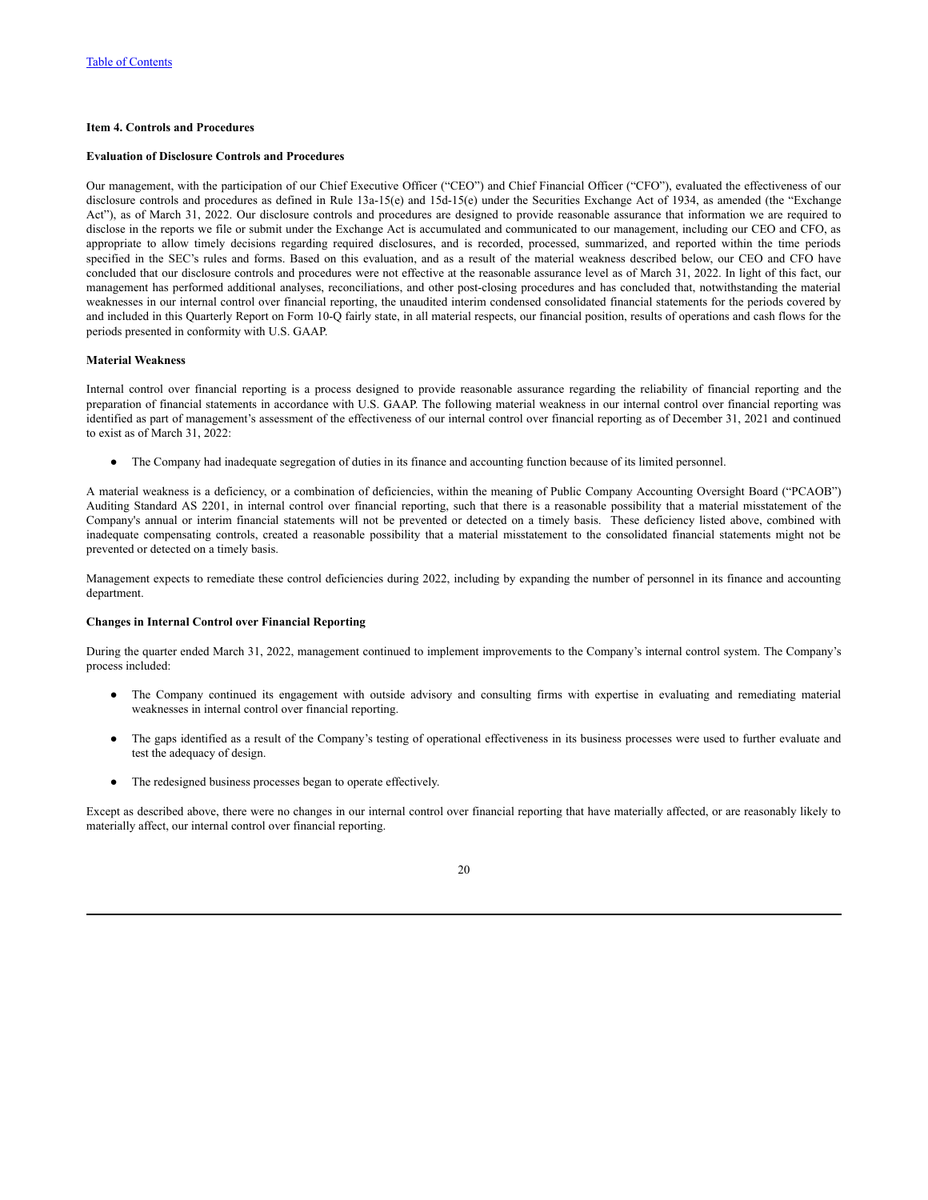#### <span id="page-21-0"></span>**Item 4. Controls and Procedures**

#### **Evaluation of Disclosure Controls and Procedures**

Our management, with the participation of our Chief Executive Officer ("CEO") and Chief Financial Officer ("CFO"), evaluated the effectiveness of our disclosure controls and procedures as defined in Rule 13a-15(e) and 15d-15(e) under the Securities Exchange Act of 1934, as amended (the "Exchange Act"), as of March 31, 2022. Our disclosure controls and procedures are designed to provide reasonable assurance that information we are required to disclose in the reports we file or submit under the Exchange Act is accumulated and communicated to our management, including our CEO and CFO, as appropriate to allow timely decisions regarding required disclosures, and is recorded, processed, summarized, and reported within the time periods specified in the SEC's rules and forms. Based on this evaluation, and as a result of the material weakness described below, our CEO and CFO have concluded that our disclosure controls and procedures were not effective at the reasonable assurance level as of March 31, 2022. In light of this fact, our management has performed additional analyses, reconciliations, and other post-closing procedures and has concluded that, notwithstanding the material weaknesses in our internal control over financial reporting, the unaudited interim condensed consolidated financial statements for the periods covered by and included in this Quarterly Report on Form 10-Q fairly state, in all material respects, our financial position, results of operations and cash flows for the periods presented in conformity with U.S. GAAP.

#### **Material Weakness**

Internal control over financial reporting is a process designed to provide reasonable assurance regarding the reliability of financial reporting and the preparation of financial statements in accordance with U.S. GAAP. The following material weakness in our internal control over financial reporting was identified as part of management's assessment of the effectiveness of our internal control over financial reporting as of December 31, 2021 and continued to exist as of March 31, 2022:

The Company had inadequate segregation of duties in its finance and accounting function because of its limited personnel.

A material weakness is a deficiency, or a combination of deficiencies, within the meaning of Public Company Accounting Oversight Board ("PCAOB") Auditing Standard AS 2201, in internal control over financial reporting, such that there is a reasonable possibility that a material misstatement of the Company's annual or interim financial statements will not be prevented or detected on a timely basis. These deficiency listed above, combined with inadequate compensating controls, created a reasonable possibility that a material misstatement to the consolidated financial statements might not be prevented or detected on a timely basis.

Management expects to remediate these control deficiencies during 2022, including by expanding the number of personnel in its finance and accounting department.

#### **Changes in Internal Control over Financial Reporting**

During the quarter ended March 31, 2022, management continued to implement improvements to the Company's internal control system. The Company's process included:

- The Company continued its engagement with outside advisory and consulting firms with expertise in evaluating and remediating material weaknesses in internal control over financial reporting.
- The gaps identified as a result of the Company's testing of operational effectiveness in its business processes were used to further evaluate and test the adequacy of design.
- The redesigned business processes began to operate effectively.

Except as described above, there were no changes in our internal control over financial reporting that have materially affected, or are reasonably likely to materially affect, our internal control over financial reporting.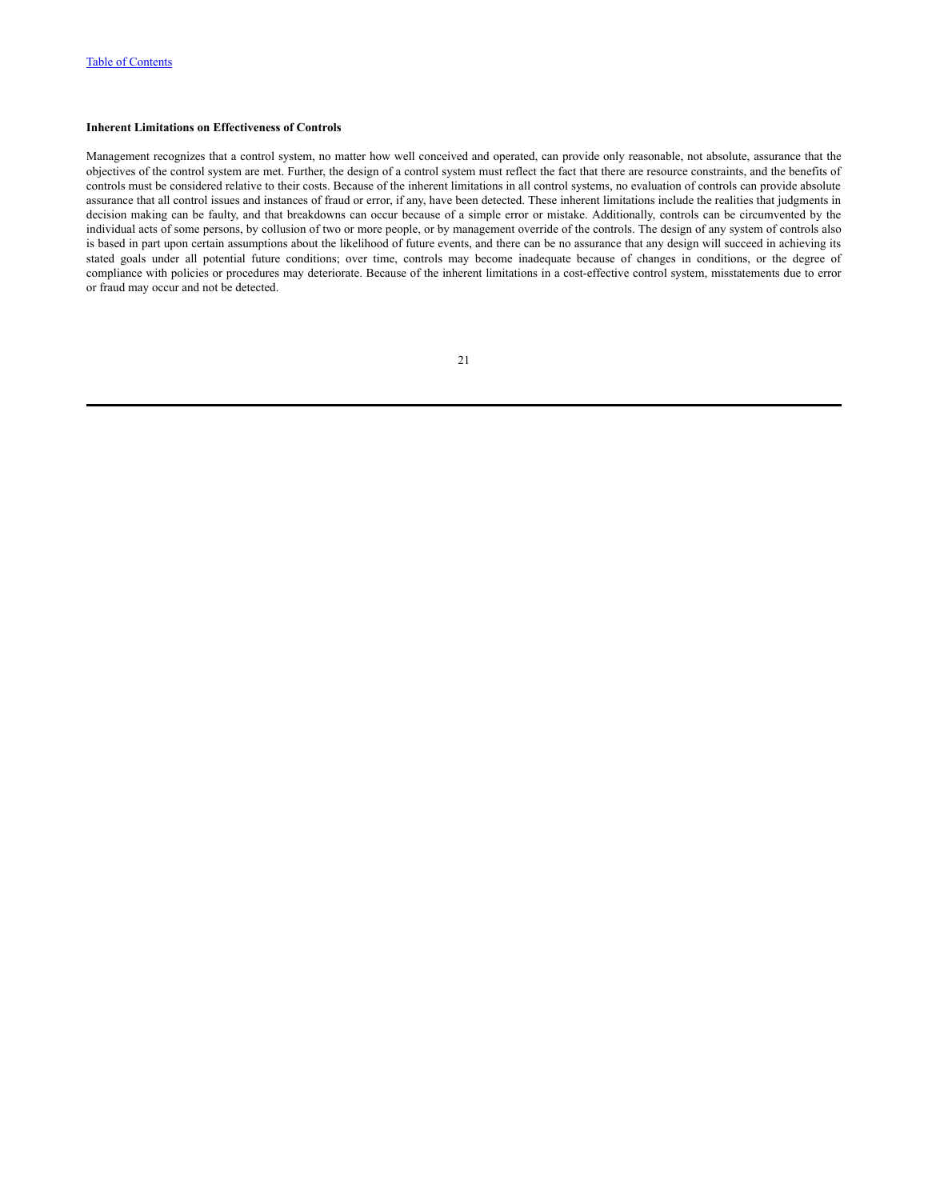#### **Inherent Limitations on Effectiveness of Controls**

Management recognizes that a control system, no matter how well conceived and operated, can provide only reasonable, not absolute, assurance that the objectives of the control system are met. Further, the design of a control system must reflect the fact that there are resource constraints, and the benefits of controls must be considered relative to their costs. Because of the inherent limitations in all control systems, no evaluation of controls can provide absolute assurance that all control issues and instances of fraud or error, if any, have been detected. These inherent limitations include the realities that judgments in decision making can be faulty, and that breakdowns can occur because of a simple error or mistake. Additionally, controls can be circumvented by the individual acts of some persons, by collusion of two or more people, or by management override of the controls. The design of any system of controls also is based in part upon certain assumptions about the likelihood of future events, and there can be no assurance that any design will succeed in achieving its stated goals under all potential future conditions; over time, controls may become inadequate because of changes in conditions, or the degree of compliance with policies or procedures may deteriorate. Because of the inherent limitations in a cost-effective control system, misstatements due to error or fraud may occur and not be detected.

| I |  |
|---|--|
|   |  |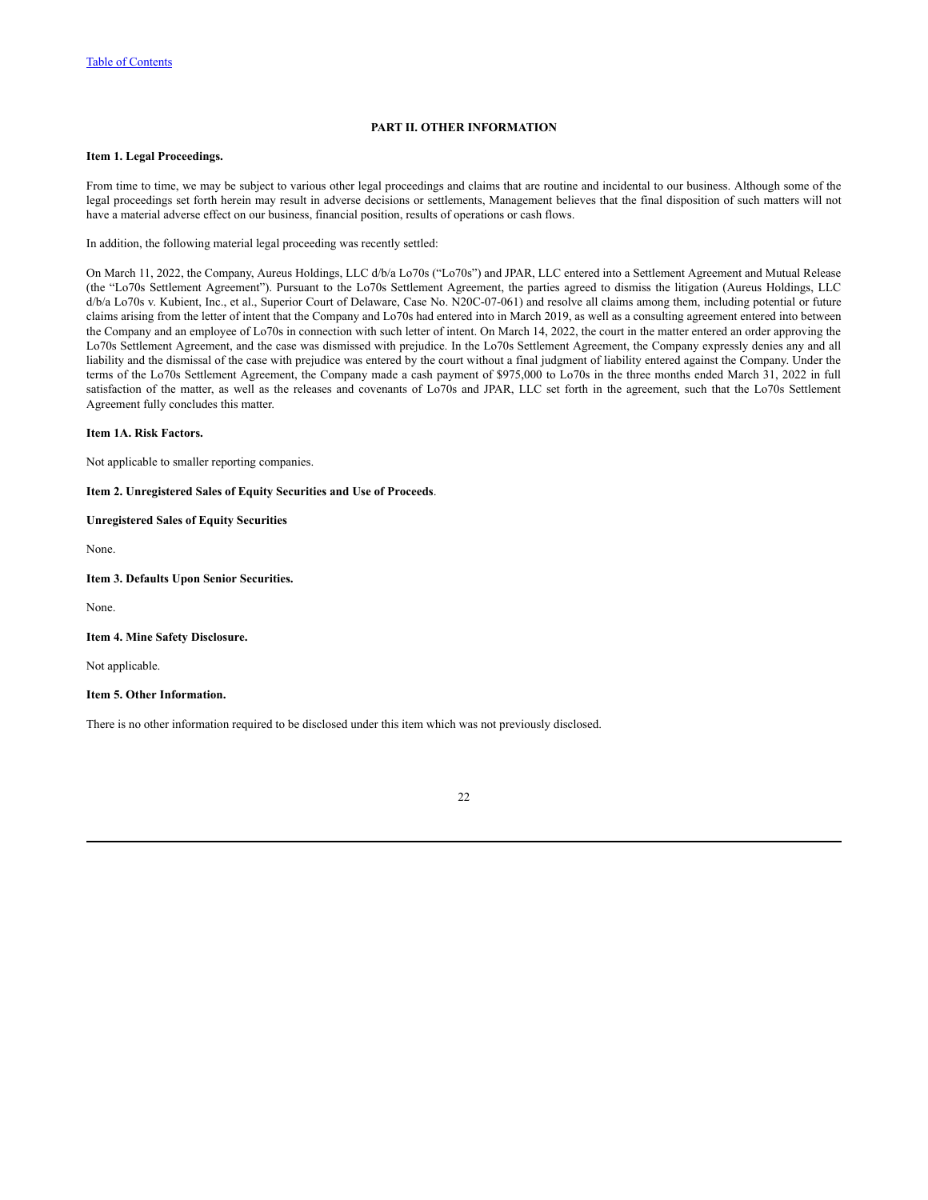#### **PART II. OTHER INFORMATION**

#### <span id="page-23-1"></span><span id="page-23-0"></span>**Item 1. Legal Proceedings.**

From time to time, we may be subject to various other legal proceedings and claims that are routine and incidental to our business. Although some of the legal proceedings set forth herein may result in adverse decisions or settlements, Management believes that the final disposition of such matters will not have a material adverse effect on our business, financial position, results of operations or cash flows.

In addition, the following material legal proceeding was recently settled:

On March 11, 2022, the Company, Aureus Holdings, LLC d/b/a Lo70s ("Lo70s") and JPAR, LLC entered into a Settlement Agreement and Mutual Release (the "Lo70s Settlement Agreement"). Pursuant to the Lo70s Settlement Agreement, the parties agreed to dismiss the litigation (Aureus Holdings, LLC d/b/a Lo70s v. Kubient, Inc., et al., Superior Court of Delaware, Case No. N20C-07-061) and resolve all claims among them, including potential or future claims arising from the letter of intent that the Company and Lo70s had entered into in March 2019, as well as a consulting agreement entered into between the Company and an employee of Lo70s in connection with such letter of intent. On March 14, 2022, the court in the matter entered an order approving the Lo70s Settlement Agreement, and the case was dismissed with prejudice. In the Lo70s Settlement Agreement, the Company expressly denies any and all liability and the dismissal of the case with prejudice was entered by the court without a final judgment of liability entered against the Company. Under the terms of the Lo70s Settlement Agreement, the Company made a cash payment of \$975,000 to Lo70s in the three months ended March 31, 2022 in full satisfaction of the matter, as well as the releases and covenants of Lo70s and JPAR, LLC set forth in the agreement, such that the Lo70s Settlement Agreement fully concludes this matter.

## <span id="page-23-2"></span>**Item 1A. Risk Factors.**

Not applicable to smaller reporting companies.

#### <span id="page-23-3"></span>**Item 2. Unregistered Sales of Equity Securities and Use of Proceeds**.

#### **Unregistered Sales of Equity Securities**

None.

#### <span id="page-23-4"></span>**Item 3. Defaults Upon Senior Securities.**

None.

#### <span id="page-23-5"></span>**Item 4. Mine Safety Disclosure.**

Not applicable.

#### <span id="page-23-6"></span>**Item 5. Other Information.**

There is no other information required to be disclosed under this item which was not previously disclosed.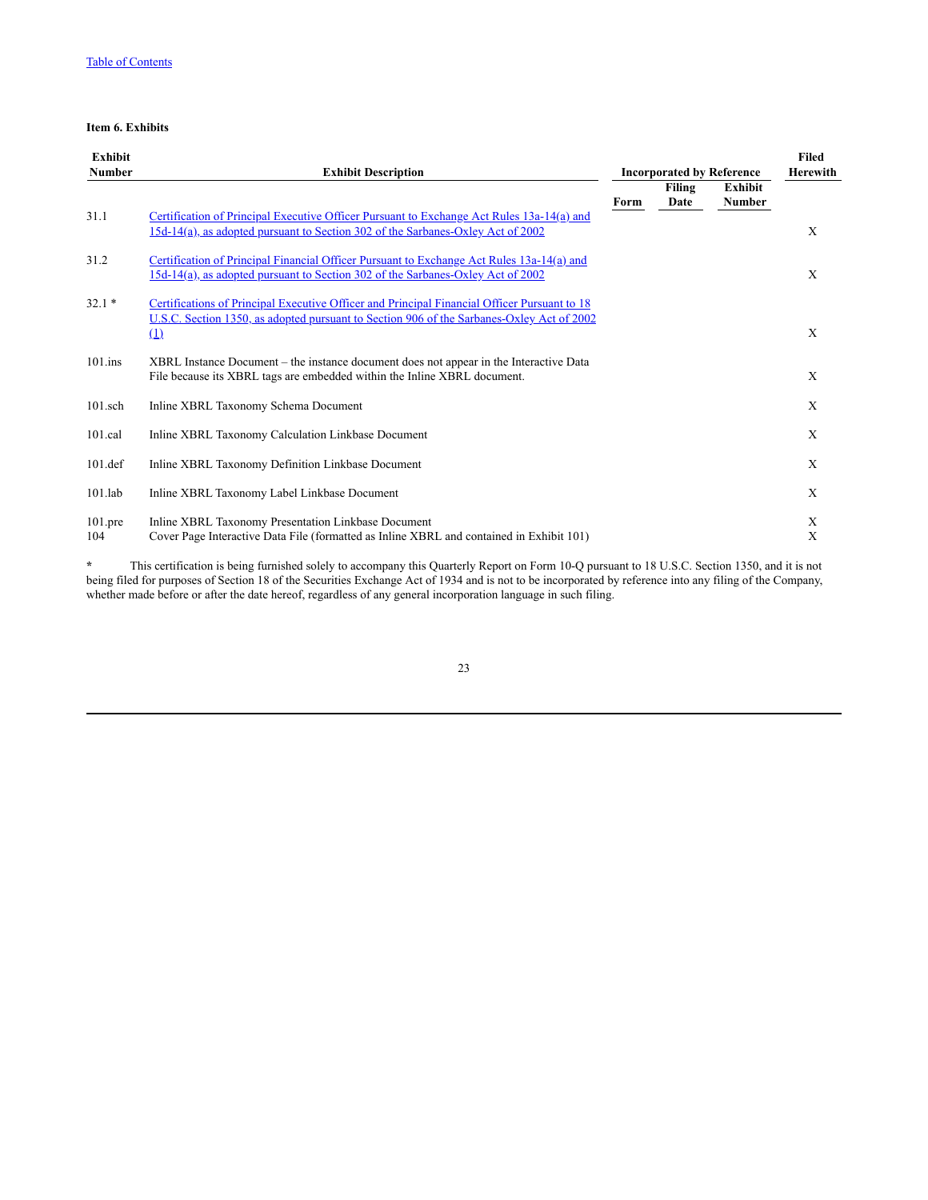## <span id="page-24-0"></span>**Item 6. Exhibits**

| <b>Exhibit</b><br><b>Number</b> | <b>Exhibit Description</b>                                                                                                                                                                                     |      | <b>Incorporated by Reference</b> |                          | <b>Filed</b><br><b>Herewith</b> |
|---------------------------------|----------------------------------------------------------------------------------------------------------------------------------------------------------------------------------------------------------------|------|----------------------------------|--------------------------|---------------------------------|
|                                 |                                                                                                                                                                                                                | Form | <b>Filing</b><br>Date            | <b>Exhibit</b><br>Number |                                 |
| 31.1                            | Certification of Principal Executive Officer Pursuant to Exchange Act Rules 13a-14(a) and<br>15d-14(a), as adopted pursuant to Section 302 of the Sarbanes-Oxley Act of 2002                                   |      |                                  |                          | X                               |
| 31.2                            | Certification of Principal Financial Officer Pursuant to Exchange Act Rules 13a-14(a) and<br>15d-14(a), as adopted pursuant to Section 302 of the Sarbanes-Oxley Act of 2002                                   |      |                                  |                          | X                               |
| $32.1*$                         | <u>Certifications of Principal Executive Officer and Principal Financial Officer Pursuant to 18</u><br>U.S.C. Section 1350, as adopted pursuant to Section 906 of the Sarbanes-Oxley Act of 2002<br><u>(1)</u> |      |                                  |                          | X                               |
| $101$ .ins                      | XBRL Instance Document – the instance document does not appear in the Interactive Data<br>File because its XBRL tags are embedded within the Inline XBRL document.                                             |      |                                  |                          | X                               |
| $101$ .sch                      | Inline XBRL Taxonomy Schema Document                                                                                                                                                                           |      |                                  |                          | X                               |
| $101$ .cal                      | Inline XBRL Taxonomy Calculation Linkbase Document                                                                                                                                                             |      |                                  |                          | X                               |
| $101.$ def                      | Inline XBRL Taxonomy Definition Linkbase Document                                                                                                                                                              |      |                                  |                          | X                               |
| $101$ .lab                      | Inline XBRL Taxonomy Label Linkbase Document                                                                                                                                                                   |      |                                  |                          | $\mathbf X$                     |
| $101$ .pre<br>104               | Inline XBRL Taxonomy Presentation Linkbase Document<br>Cover Page Interactive Data File (formatted as Inline XBRL and contained in Exhibit 101)                                                                |      |                                  |                          | $\mathbf X$<br>X                |

**\*** This certification is being furnished solely to accompany this Quarterly Report on Form 10-Q pursuant to 18 U.S.C. Section 1350, and it is not being filed for purposes of Section 18 of the Securities Exchange Act of 1934 and is not to be incorporated by reference into any filing of the Company, whether made before or after the date hereof, regardless of any general incorporation language in such filing.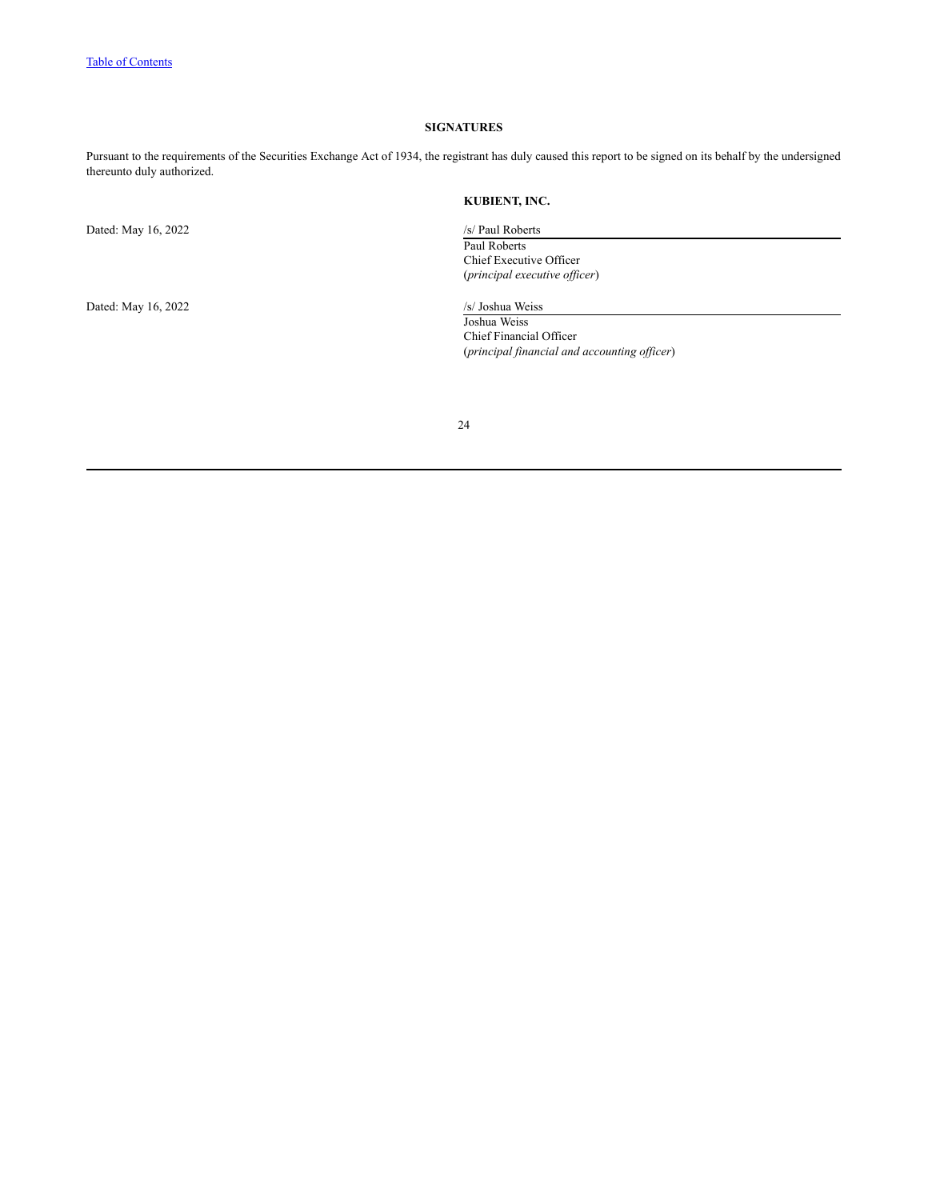#### **SIGNATURES**

<span id="page-25-0"></span>Pursuant to the requirements of the Securities Exchange Act of 1934, the registrant has duly caused this report to be signed on its behalf by the undersigned thereunto duly authorized.

## **KUBIENT, INC.**

Dated: May 16, 2022 /s/ Paul Roberts Paul Roberts Chief Executive Officer (*principal executive of icer*) Dated: May 16, 2022 /s/ Joshua Weiss Joshua Weiss Chief Financial Officer (*principal financial and accounting of icer*)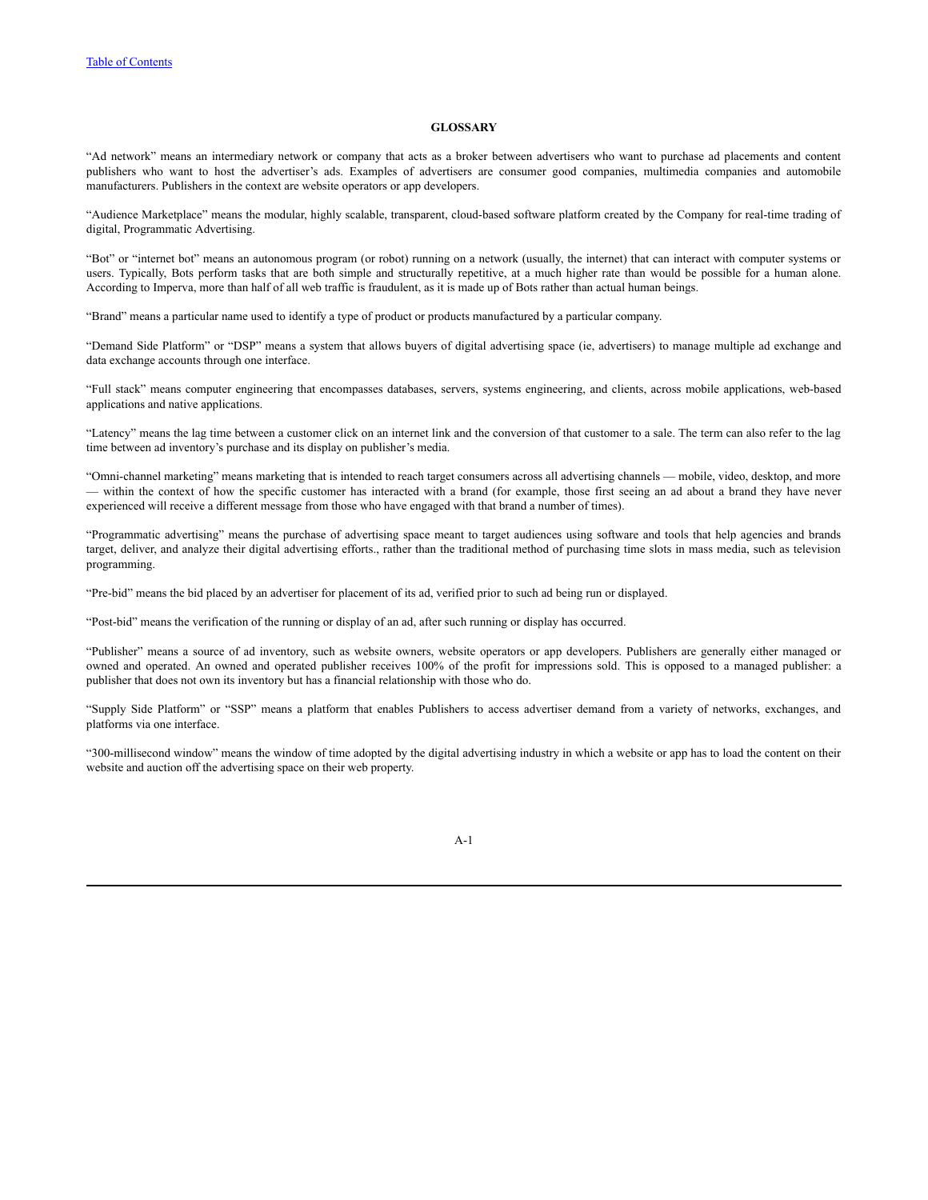#### **GLOSSARY**

<span id="page-26-0"></span>"Ad network" means an intermediary network or company that acts as a broker between advertisers who want to purchase ad placements and content publishers who want to host the advertiser's ads. Examples of advertisers are consumer good companies, multimedia companies and automobile manufacturers. Publishers in the context are website operators or app developers.

"Audience Marketplace" means the modular, highly scalable, transparent, cloud-based software platform created by the Company for real-time trading of digital, Programmatic Advertising.

"Bot" or "internet bot" means an autonomous program (or robot) running on a network (usually, the internet) that can interact with computer systems or users. Typically, Bots perform tasks that are both simple and structurally repetitive, at a much higher rate than would be possible for a human alone. According to Imperva, more than half of all web traffic is fraudulent, as it is made up of Bots rather than actual human beings.

"Brand" means a particular name used to identify a type of product or products manufactured by a particular company.

"Demand Side Platform" or "DSP" means a system that allows buyers of digital advertising space (ie, advertisers) to manage multiple ad exchange and data exchange accounts through one interface.

"Full stack" means computer engineering that encompasses databases, servers, systems engineering, and clients, across mobile applications, web-based applications and native applications.

"Latency" means the lag time between a customer click on an internet link and the conversion of that customer to a sale. The term can also refer to the lag time between ad inventory's purchase and its display on publisher's media.

"Omni-channel marketing" means marketing that is intended to reach target consumers across all advertising channels — mobile, video, desktop, and more — within the context of how the specific customer has interacted with a brand (for example, those first seeing an ad about a brand they have never experienced will receive a different message from those who have engaged with that brand a number of times).

"Programmatic advertising" means the purchase of advertising space meant to target audiences using software and tools that help agencies and brands target, deliver, and analyze their digital advertising efforts., rather than the traditional method of purchasing time slots in mass media, such as television programming.

"Pre-bid" means the bid placed by an advertiser for placement of its ad, verified prior to such ad being run or displayed.

"Post-bid" means the verification of the running or display of an ad, after such running or display has occurred.

"Publisher" means a source of ad inventory, such as website owners, website operators or app developers. Publishers are generally either managed or owned and operated. An owned and operated publisher receives 100% of the profit for impressions sold. This is opposed to a managed publisher: a publisher that does not own its inventory but has a financial relationship with those who do.

"Supply Side Platform" or "SSP" means a platform that enables Publishers to access advertiser demand from a variety of networks, exchanges, and platforms via one interface.

"300-millisecond window" means the window of time adopted by the digital advertising industry in which a website or app has to load the content on their website and auction off the advertising space on their web property.

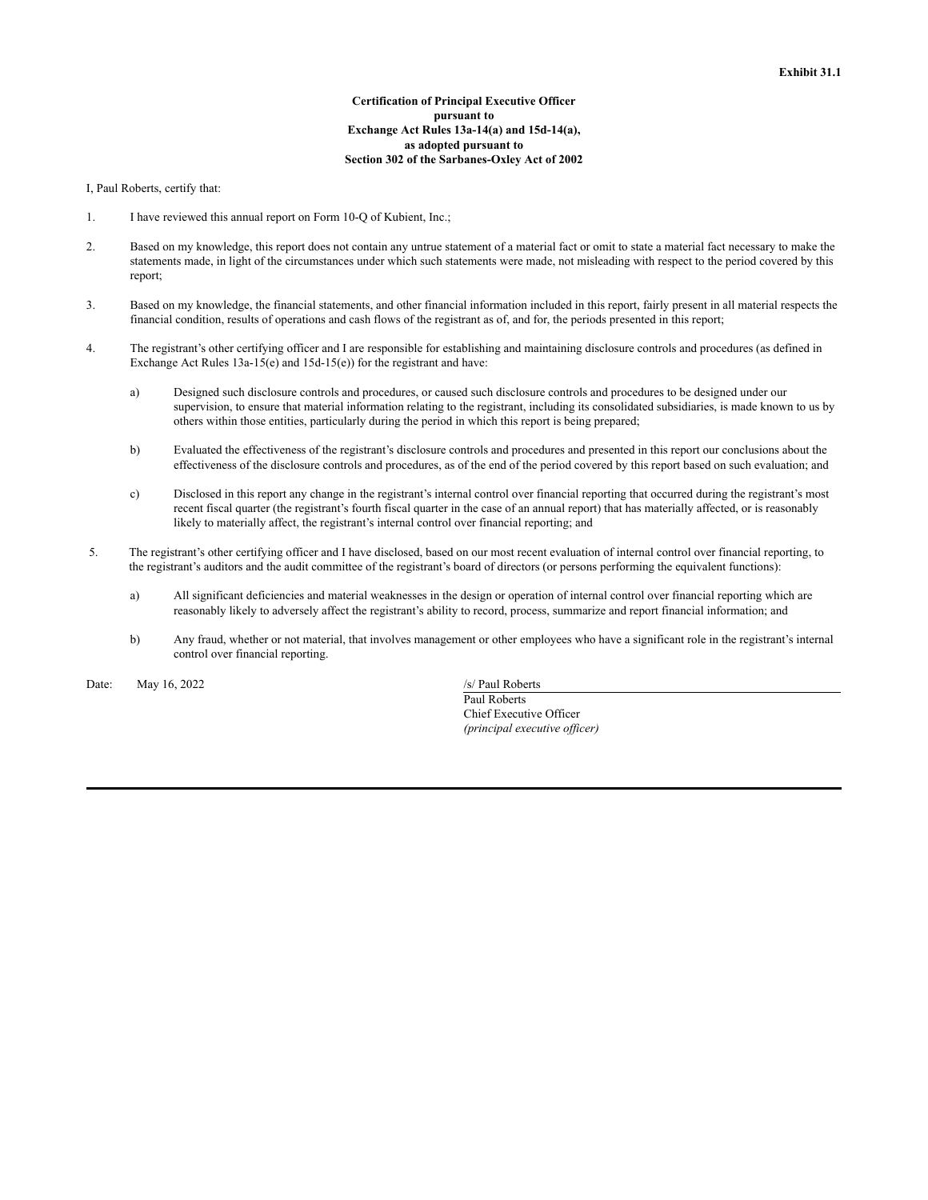#### **Certification of Principal Executive Officer pursuant to Exchange Act Rules 13a-14(a) and 15d-14(a), as adopted pursuant to Section 302 of the Sarbanes-Oxley Act of 2002**

I, Paul Roberts, certify that:

- 1. I have reviewed this annual report on Form 10-Q of Kubient, Inc.;
- 2. Based on my knowledge, this report does not contain any untrue statement of a material fact or omit to state a material fact necessary to make the statements made, in light of the circumstances under which such statements were made, not misleading with respect to the period covered by this report;
- 3. Based on my knowledge, the financial statements, and other financial information included in this report, fairly present in all material respects the financial condition, results of operations and cash flows of the registrant as of, and for, the periods presented in this report;
- 4. The registrant's other certifying officer and I are responsible for establishing and maintaining disclosure controls and procedures (as defined in Exchange Act Rules 13a-15(e) and 15d-15(e)) for the registrant and have:
	- a) Designed such disclosure controls and procedures, or caused such disclosure controls and procedures to be designed under our supervision, to ensure that material information relating to the registrant, including its consolidated subsidiaries, is made known to us by others within those entities, particularly during the period in which this report is being prepared;
	- b) Evaluated the effectiveness of the registrant's disclosure controls and procedures and presented in this report our conclusions about the effectiveness of the disclosure controls and procedures, as of the end of the period covered by this report based on such evaluation; and
	- c) Disclosed in this report any change in the registrant's internal control over financial reporting that occurred during the registrant's most recent fiscal quarter (the registrant's fourth fiscal quarter in the case of an annual report) that has materially affected, or is reasonably likely to materially affect, the registrant's internal control over financial reporting; and
- 5. The registrant's other certifying officer and I have disclosed, based on our most recent evaluation of internal control over financial reporting, to the registrant's auditors and the audit committee of the registrant's board of directors (or persons performing the equivalent functions):
	- a) All significant deficiencies and material weaknesses in the design or operation of internal control over financial reporting which are reasonably likely to adversely affect the registrant's ability to record, process, summarize and report financial information; and
	- b) Any fraud, whether or not material, that involves management or other employees who have a significant role in the registrant's internal control over financial reporting.

Date: May 16, 2022 /s/ Paul Roberts

Paul Roberts Chief Executive Officer *(principal executive of icer)*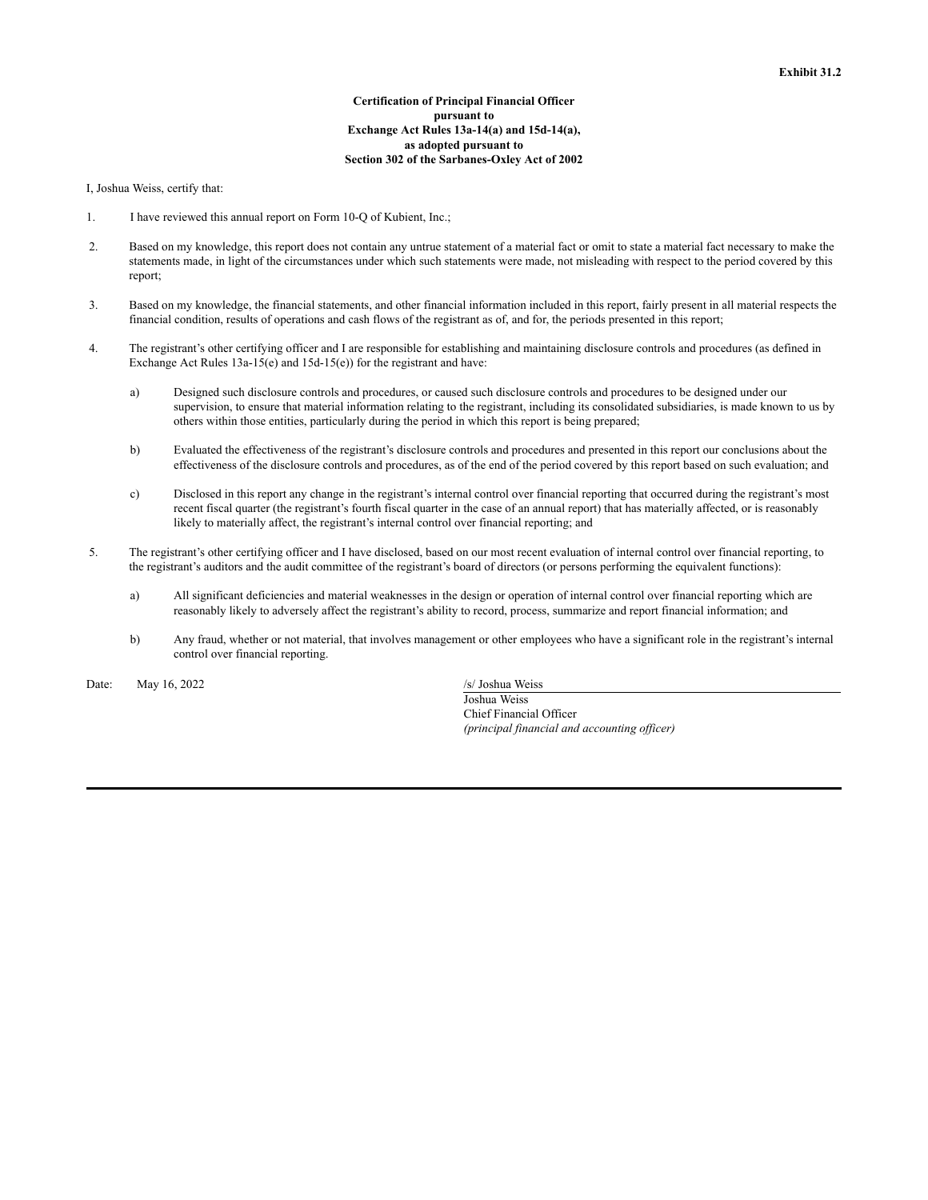#### **Certification of Principal Financial Officer pursuant to Exchange Act Rules 13a-14(a) and 15d-14(a), as adopted pursuant to Section 302 of the Sarbanes-Oxley Act of 2002**

I, Joshua Weiss, certify that:

- 1. I have reviewed this annual report on Form 10-Q of Kubient, Inc.;
- 2. Based on my knowledge, this report does not contain any untrue statement of a material fact or omit to state a material fact necessary to make the statements made, in light of the circumstances under which such statements were made, not misleading with respect to the period covered by this report;
- 3. Based on my knowledge, the financial statements, and other financial information included in this report, fairly present in all material respects the financial condition, results of operations and cash flows of the registrant as of, and for, the periods presented in this report;
- 4. The registrant's other certifying officer and I are responsible for establishing and maintaining disclosure controls and procedures (as defined in Exchange Act Rules 13a-15(e) and 15d-15(e)) for the registrant and have:
	- a) Designed such disclosure controls and procedures, or caused such disclosure controls and procedures to be designed under our supervision, to ensure that material information relating to the registrant, including its consolidated subsidiaries, is made known to us by others within those entities, particularly during the period in which this report is being prepared;
	- b) Evaluated the effectiveness of the registrant's disclosure controls and procedures and presented in this report our conclusions about the effectiveness of the disclosure controls and procedures, as of the end of the period covered by this report based on such evaluation; and
	- c) Disclosed in this report any change in the registrant's internal control over financial reporting that occurred during the registrant's most recent fiscal quarter (the registrant's fourth fiscal quarter in the case of an annual report) that has materially affected, or is reasonably likely to materially affect, the registrant's internal control over financial reporting; and
- 5. The registrant's other certifying officer and I have disclosed, based on our most recent evaluation of internal control over financial reporting, to the registrant's auditors and the audit committee of the registrant's board of directors (or persons performing the equivalent functions):
	- a) All significant deficiencies and material weaknesses in the design or operation of internal control over financial reporting which are reasonably likely to adversely affect the registrant's ability to record, process, summarize and report financial information; and
	- b) Any fraud, whether or not material, that involves management or other employees who have a significant role in the registrant's internal control over financial reporting.

Date: May 16, 2022 /s/ Joshua Weiss

Joshua Weiss Chief Financial Officer *(principal financial and accounting of icer)*